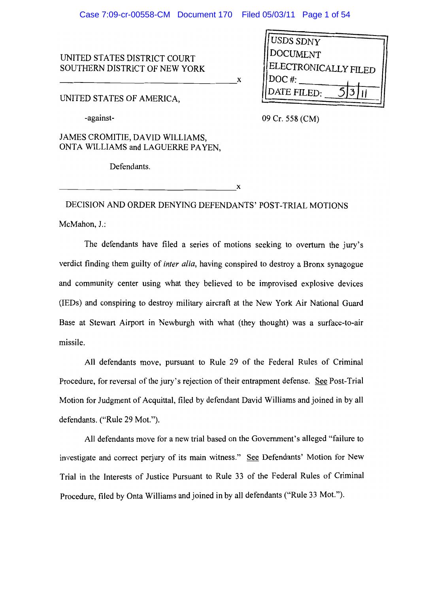X

 $\mathbf x$ 

UNITED STATES DISTRICT COURT SOUTHERN DISTRICT OF NEW YORK

UNITED STATES OF AMERICA.

-against-

**USDS SDNY** DOCUMENT ELECTRONICALLY FILED  $DOC$  #: DATE FILED:

09 Cr. 558 (CM)

JAMES CROMITIE, DAVID WILLIAMS, ONTA WILLIAMS and LAGUERRE PAYEN.

Defendants.

DECISION AND ORDER DENYING DEFENDANTS' POST-TRIAL MOTIONS McMahon, J.:

The defendants have filed a series of motions seeking to overturn the jury's verdict finding them guilty of inter alia, having conspired to destroy a Bronx synagogue and community center using what they believed to be improvised explosive devices (IEDs) and conspiring to destroy military aircraft at the New York Air National Guard Base at Stewart Airport in Newburgh with what (they thought) was a surface-to-air missile.

All defendants move, pursuant to Rule 29 of the Federal Rules of Criminal Procedure, for reversal of the jury's rejection of their entrapment defense. See Post-Trial Motion for Judgment of Acquittal, filed by defendant David Williams and joined in by all defendants. ("Rule 29 Mot.").

All defendants move for a new trial based on the Government's alleged "failure to investigate and correct perjury of its main witness." See Defendants' Motion for New Trial in the Interests of Justice Pursuant to Rule 33 of the Federal Rules of Criminal Procedure, filed by Onta Williams and joined in by all defendants ("Rule 33 Mot.").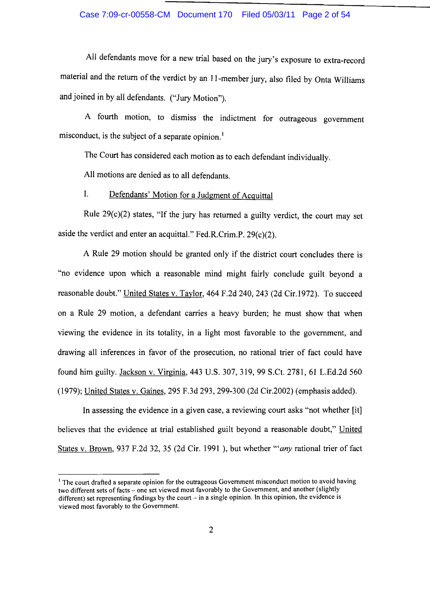## Case 7:09-cr-00558-CM Document 170 Filed 05/03/11 Page 2 of 54

All defendants move for a new trial based on the jury's exposure to extra-record material and the return of the verdict by an 11-member jury, also filed by Onta Williams and joined in by all defendants. ("Jury Motion").

A fourth motion, to dismiss the indictment for outrageous government misconduct, is the subject of a separate opinion.<sup>1</sup>

The Court has considered each motion as to each defendant individually.

All motions are denied as to all defendants.

#### $\mathbf{I}$ . Defendants' Motion for a Judgment of Acquittal

Rule  $29(c)(2)$  states, "If the jury has returned a guilty verdict, the court may set aside the verdict and enter an acquittal." Fed.R.Crim.P.  $29(c)(2)$ .

A Rule 29 motion should be granted only if the district court concludes there is "no evidence upon which a reasonable mind might fairly conclude guilt beyond a reasonable doubt." United States v. Taylor, 464 F.2d 240, 243 (2d Cir.1972). To succeed on a Rule 29 motion, a defendant carries a heavy burden; he must show that when viewing the evidence in its totality, in a light most favorable to the government, and drawing all inferences in favor of the prosecution, no rational trier of fact could have found him guilty. Jackson v. Virginia, 443 U.S. 307, 319, 99 S.Ct. 2781, 61 L.Ed.2d 560 (1979); United States v. Gaines, 295 F.3d 293, 299-300 (2d Cir.2002) (emphasis added).

In assessing the evidence in a given case, a reviewing court asks "not whether [it] believes that the evidence at trial established guilt beyond a reasonable doubt," United States v. Brown, 937 F.2d 32, 35 (2d Cir. 1991), but whether "any rational trier of fact

<sup>&</sup>lt;sup>1</sup> The court drafted a separate opinion for the outrageous Government misconduct motion to avoid having two different sets of facts - one set viewed most favorably to the Government, and another (slightly different) set representing findings by the court  $-$  in a single opinion. In this opinion, the evidence is viewed most favorably to the Government.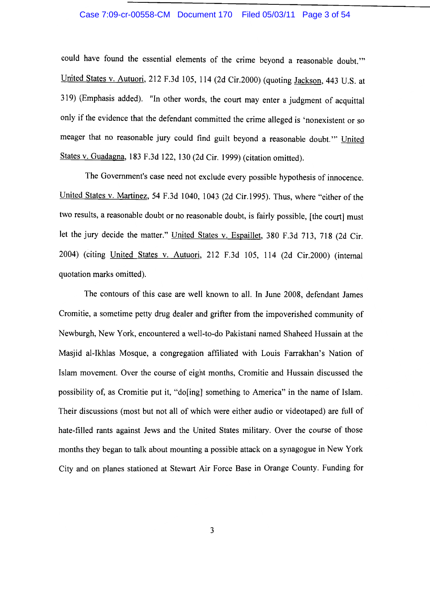#### Case 7:09-cr-00558-CM Document 170 Filed 05/03/11 Page 3 of 54

could have found the essential elements of the crime beyond a reasonable doubt." United States v. Autuori, 212 F.3d 105, 114 (2d Cir.2000) (quoting Jackson, 443 U.S. at 319) (Emphasis added). "In other words, the court may enter a judgment of acquittal only if the evidence that the defendant committed the crime alleged is 'nonexistent or so meager that no reasonable jury could find guilt beyond a reasonable doubt." United States v. Guadagna, 183 F.3d 122, 130 (2d Cir. 1999) (citation omitted).

The Government's case need not exclude every possible hypothesis of innocence. United States v. Martinez, 54 F.3d 1040, 1043 (2d Cir.1995). Thus, where "either of the two results, a reasonable doubt or no reasonable doubt, is fairly possible, [the court] must let the jury decide the matter." United States v. Espaillet, 380 F.3d 713, 718 (2d Cir. 2004) (citing United States v. Autuori, 212 F.3d 105, 114 (2d Cir.2000) (internal quotation marks omitted).

The contours of this case are well known to all. In June 2008, defendant James Cromitie, a sometime petty drug dealer and grifter from the impoverished community of Newburgh, New York, encountered a well-to-do Pakistani named Shaheed Hussain at the Masjid al-Ikhlas Mosque, a congregation affiliated with Louis Farrakhan's Nation of Islam movement. Over the course of eight months, Cromitie and Hussain discussed the possibility of, as Cromitie put it, "do [ing] something to America" in the name of Islam. Their discussions (most but not all of which were either audio or videotaped) are full of hate-filled rants against Jews and the United States military. Over the course of those months they began to talk about mounting a possible attack on a synagogue in New York City and on planes stationed at Stewart Air Force Base in Orange County. Funding for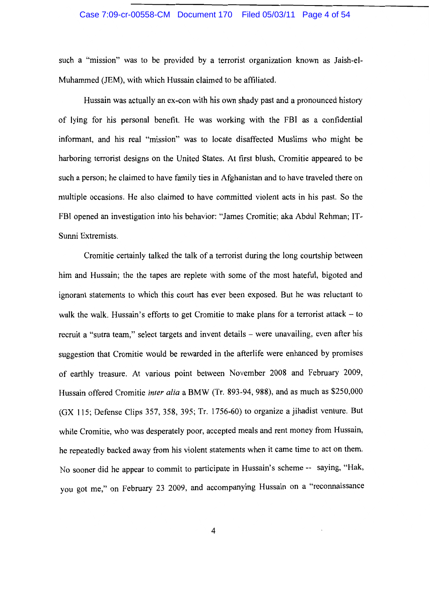#### Case 7:09-cr-00558-CM Document 170 Filed 05/03/11 Page 4 of 54

such a "mission" was to be provided by a terrorist organization known as Jaish-el-Muhammed (JEM), with which Hussain claimed to be affiliated.

Hussain was actually an ex-con with his own shady past and a pronounced history of lying for his personal benefit. He was working with the FBI as a confidential informant, and his real "mission" was to locate disaffected Muslims who might be harboring terrorist designs on the United States. At first blush, Cromitie appeared to be such a person; he claimed to have family ties in Afghanistan and to have traveled there on multiple occasions. He also claimed to have committed violent acts in his past. So the FBI opened an investigation into his behavior: "James Cromitie; aka Abdul Rehman; IT-Sunni Extremists.

Cromitie certainly talked the talk of a terrorist during the long courtship between him and Hussain; the the tapes are replete with some of the most hateful, bigoted and ignorant statements to which this court has ever been exposed. But he was reluctant to walk the walk. Hussain's efforts to get Cromitie to make plans for a terrorist attack - to recruit a "sutra team," select targets and invent details – were unavailing, even after his suggestion that Cromitie would be rewarded in the afterlife were enhanced by promises of earthly treasure. At various point between November 2008 and February 2009, Hussain offered Cromitie inter alia a BMW (Tr. 893-94, 988), and as much as \$250,000 (GX 115; Defense Clips 357, 358, 395; Tr. 1756-60) to organize a jihadist venture. But while Cromitie, who was desperately poor, accepted meals and rent money from Hussain, he repeatedly backed away from his violent statements when it came time to act on them. No sooner did he appear to commit to participate in Hussain's scheme -- saying, "Hak, you got me," on February 23 2009, and accompanying Hussain on a "reconnaissance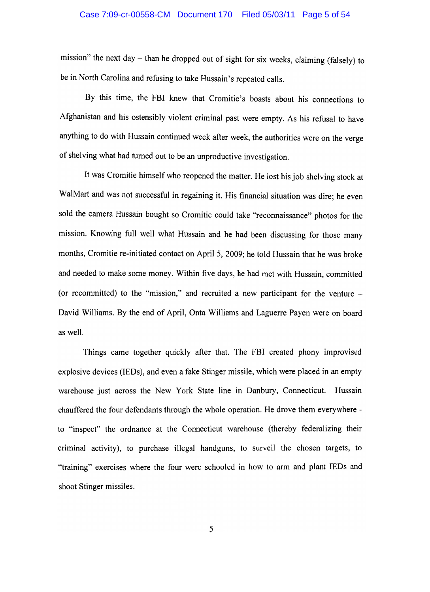mission" the next day – than he dropped out of sight for six weeks, claiming (falsely) to be in North Carolina and refusing to take Hussain's repeated calls.

By this time, the FBI knew that Cromitie's boasts about his connections to Afghanistan and his ostensibly violent criminal past were empty. As his refusal to have anything to do with Hussain continued week after week, the authorities were on the verge of shelving what had turned out to be an unproductive investigation.

It was Cromitie himself who reopened the matter. He lost his job shelving stock at WalMart and was not successful in regaining it. His financial situation was dire; he even sold the camera Hussain bought so Cromitie could take "reconnaissance" photos for the mission. Knowing full well what Hussain and he had been discussing for those many months, Cromitie re-initiated contact on April 5, 2009; he told Hussain that he was broke and needed to make some money. Within five days, he had met with Hussain, committed (or recommitted) to the "mission," and recruited a new participant for the venture  $-$ David Williams. By the end of April, Onta Williams and Laguerre Payen were on board as well.

Things came together quickly after that. The FBI created phony improvised explosive devices (IEDs), and even a fake Stinger missile, which were placed in an empty warehouse just across the New York State line in Danbury, Connecticut. Hussain chauffered the four defendants through the whole operation. He drove them everywhere to "inspect" the ordnance at the Connecticut warehouse (thereby federalizing their criminal activity), to purchase illegal handguns, to surveil the chosen targets, to "training" exercises where the four were schooled in how to arm and plant IEDs and shoot Stinger missiles.

5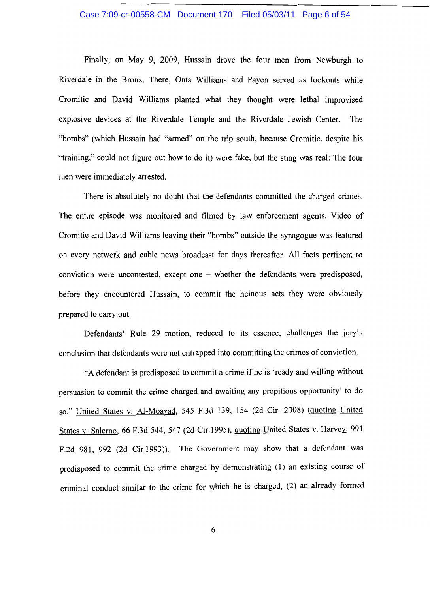## Case 7:09-cr-00558-CM Document 170 Filed 05/03/11 Page 6 of 54

Finally, on May 9, 2009, Hussain drove the four men from Newburgh to Riverdale in the Bronx. There, Onta Williams and Payen served as lookouts while Cromitie and David Williams planted what they thought were lethal improvised explosive devices at the Riverdale Temple and the Riverdale Jewish Center. The "bombs" (which Hussain had "armed" on the trip south, because Cromitie, despite his "training," could not figure out how to do it) were fake, but the sting was real: The four men were immediately arrested.

There is absolutely no doubt that the defendants committed the charged crimes. The entire episode was monitored and filmed by law enforcement agents. Video of Cromitie and David Williams leaving their "bombs" outside the synagogue was featured on every network and cable news broadcast for days thereafter. All facts pertinent to conviction were uncontested, except one - whether the defendants were predisposed, before they encountered Hussain, to commit the heinous acts they were obviously prepared to carry out.

Defendants' Rule 29 motion, reduced to its essence, challenges the jury's conclusion that defendants were not entrapped into committing the crimes of conviction.

"A defendant is predisposed to commit a crime if he is 'ready and willing without persuasion to commit the crime charged and awaiting any propitious opportunity' to do so." United States v. Al-Moayad, 545 F.3d 139, 154 (2d Cir. 2008) (quoting United States v. Salerno, 66 F.3d 544, 547 (2d Cir.1995), quoting United States v. Harvey, 991 F.2d 981, 992 (2d Cir.1993)). The Government may show that a defendant was predisposed to commit the crime charged by demonstrating (1) an existing course of criminal conduct similar to the crime for which he is charged, (2) an already formed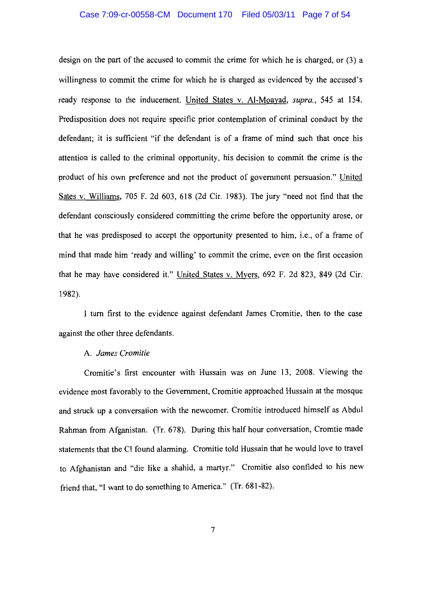## Case 7:09-cr-00558-CM Document 170 Filed 05/03/11 Page 7 of 54

design on the part of the accused to commit the crime for which he is charged, or (3) a willingness to commit the crime for which he is charged as evidenced by the accused's ready response to the inducement. United States v. Al-Moayad, supra., 545 at 154. Predisposition does not require specific prior contemplation of criminal conduct by the defendant; it is sufficient "if the defendant is of a frame of mind such that once his attention is called to the criminal opportunity, his decision to commit the crime is the product of his own preference and not the product of government persuasion." United Sates v. Williams, 705 F. 2d 603, 618 (2d Cir. 1983). The jury "need not find that the defendant consciously considered committing the crime before the opportunity arose, or that he was predisposed to accept the opportunity presented to him, i.e., of a frame of mind that made him 'ready and willing' to commit the crime, even on the first occasion that he may have considered it." United States v. Myers, 692 F. 2d 823, 849 (2d Cir. 1982).

I turn first to the evidence against defendant James Cromitie, then to the case against the other three defendants.

## A. James Cromitie

Cromitie's first encounter with Hussain was on June 13, 2008. Viewing the evidence most favorably to the Government, Cromitie approached Hussain at the mosque and struck up a conversation with the newcomer. Cromitie introduced himself as Abdul Rahman from Afganistan, (Tr. 678). During this half hour conversation, Cromtie made statements that the CI found alarming. Cromitie told Hussain that he would love to travel to Afghanistan and "die like a shahid, a martyr." Cromitie also confided to his new friend that, "I want to do something to America." (Tr. 681-82).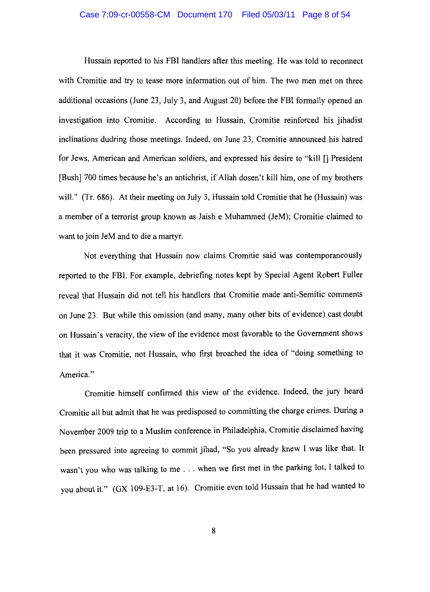#### Case 7:09-cr-00558-CM Document 170 Filed 05/03/11 Page 8 of 54

Hussain reported to his FBI handlers after this meeting. He was told to reconnect with Cromitie and try to tease more information out of him. The two men met on three additional occasions (June 23, July 3, and August 20) before the FBI formally opened an investigation into Cromitie. According to Hussain. Cromitie reinforced his iihadist inclinations dudring those meetings. Indeed, on June 23, Cromitie announced his hatred for Jews, American and American soldiers, and expressed his desire to "kill [] President [Bush] 700 times because he's an antichrist, if Allah dosen't kill him, one of my brothers will." (Tr. 686). At their meeting on July 3, Hussain told Cromitie that he (Hussain) was a member of a terrorist group known as Jaish e Muhammed (JeM); Cromitie claimed to want to join JeM and to die a martyr.

Not everything that Hussain now claims Cromitie said was contemporaneously reported to the FBI. For example, debriefing notes kept by Special Agent Robert Fuller reveal that Hussain did not tell his handlers that Cromitie made anti-Semitic comments on June 23. But while this omission (and many, many other bits of evidence) cast doubt on Hussain's veracity, the view of the evidence most favorable to the Government shows that it was Cromitie, not Hussain, who first broached the idea of "doing something to America."

Cromitie himself confirmed this view of the evidence. Indeed, the jury heard Cromitie all but admit that he was predisposed to committing the charge crimes. During a November 2009 trip to a Muslim conference in Philadelphia, Cromitie disclaimed having been pressured into agreeing to commit jihad, "So you already knew I was like that. It wasn't you who was talking to me . . . when we first met in the parking lot, I talked to you about it." (GX 109-E3-T, at 16). Cromitie even told Hussain that he had wanted to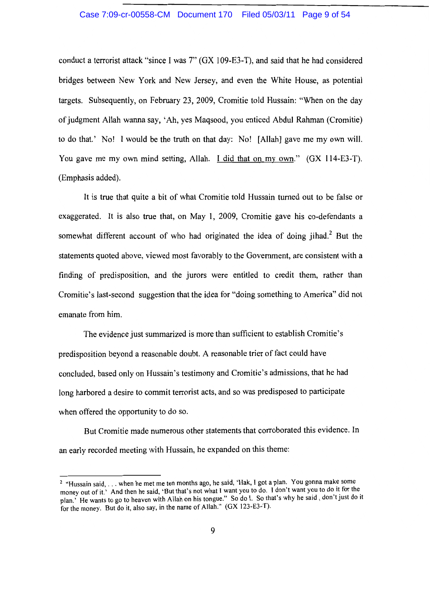#### Case 7:09-cr-00558-CM Document 170 Filed 05/03/11 Page 9 of 54

conduct a terrorist attack "since I was 7" (GX 109-E3-T), and said that he had considered bridges between New York and New Jersey, and even the White House, as potential targets. Subsequently, on February 23, 2009, Cromitie told Hussain: "When on the day of judgment Allah wanna say, 'Ah, yes Maqsood, you enticed Abdul Rahman (Cromitie) to do that.' No! I would be the truth on that day: No! [Allah] gave me my own will. You gave me my own mind setting, Allah. I did that on my own." (GX 114-E3-T). (Emphasis added).

It is true that quite a bit of what Cromitie told Hussain turned out to be false or exaggerated. It is also true that, on May 1, 2009, Cromitie gave his co-defendants a somewhat different account of who had originated the idea of doing jihad.<sup>2</sup> But the statements quoted above, viewed most favorably to the Government, are consistent with a finding of predisposition, and the jurors were entitled to credit them, rather than Cromitie's last-second suggestion that the idea for "doing something to America" did not emanate from him.

The evidence just summarized is more than sufficient to establish Cromitie's predisposition beyond a reasonable doubt. A reasonable trier of fact could have concluded, based only on Hussain's testimony and Cromitie's admissions, that he had long harbored a desire to commit terrorist acts, and so was predisposed to participate when offered the opportunity to do so.

But Cromitie made numerous other statements that corroborated this evidence. In an early recorded meeting with Hussain, he expanded on this theme:

<sup>&</sup>lt;sup>2</sup> "Hussain said, . . . when he met me ten months ago, he said, 'Hak, I got a plan. You gonna make some money out of it.' And then he said, 'But that's not what I want you to do. I don't want you to do it for the plan.' He wants to go to heaven with Allah on his tongue." So do I. So that's why he said, don't just do it for the money. But do it, also say, in the name of Allah." (GX 123-E3-T).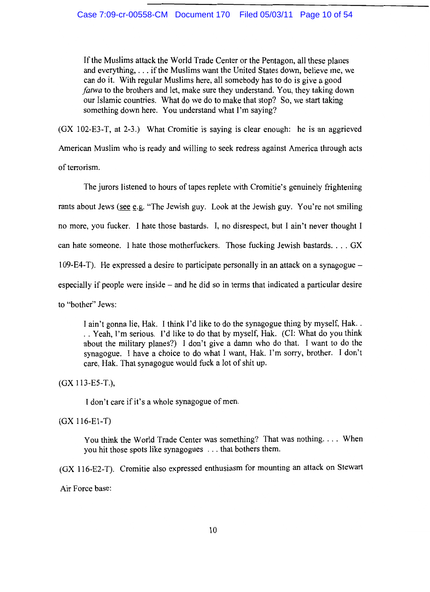If the Muslims attack the World Trade Center or the Pentagon, all these planes and everything, . . . if the Muslims want the United States down, believe me, we can do it. With regular Muslims here, all somebody has to do is give a good fatwa to the brothers and let, make sure they understand. You, they taking down our Islamic countries. What do we do to make that stop? So, we start taking something down here. You understand what I'm saying?

(GX 102-E3-T, at 2-3.) What Cromitie is saying is clear enough: he is an aggrieved American Muslim who is ready and willing to seek redress against America through acts of terrorism.

The jurors listened to hours of tapes replete with Cromitie's genuinely frightening rants about Jews (see e.g. "The Jewish guy. Look at the Jewish guy. You're not smiling no more, you fucker. I hate those bastards. I, no disrespect, but I ain't never thought I can hate someone. I hate those motherfuckers. Those fucking Jewish bastards.... GX 109-E4-T). He expressed a desire to participate personally in an attack on a synagogue  $$ especially if people were inside  $-$  and he did so in terms that indicated a particular desire to "bother" Jews:

I ain't gonna lie, Hak. I think I'd like to do the synagogue thing by myself, Hak.. .. Yeah, I'm serious. I'd like to do that by myself, Hak. (CI: What do you think about the military planes?) I don't give a damn who do that. I want to do the synagogue. I have a choice to do what I want, Hak. I'm sorry, brother. I don't care, Hak. That synagogue would fuck a lot of shit up.

 $(GX 113-E5-T.),$ 

I don't care if it's a whole synagogue of men.

 $(GX 116-E1-T)$ 

You think the World Trade Center was something? That was nothing.... When you hit those spots like synagogues ... that bothers them.

(GX 116-E2-T). Cromitie also expressed enthusiasm for mounting an attack on Stewart

Air Force base: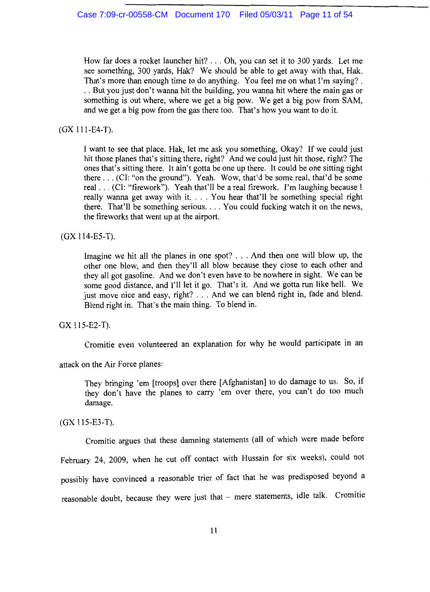How far does a rocket launcher hit? . . . Oh, you can set it to 300 yards. Let me see something, 300 yards, Hak? We should be able to get away with that, Hak. That's more than enough time to do anything. You feel me on what I'm saying?. .. But you just don't wanna hit the building, you wanna hit where the main gas or something is out where, where we get a big pow. We get a big pow from SAM, and we get a big pow from the gas there too. That's how you want to do it.

# $(GX 111-E4-T).$

I want to see that place. Hak, let me ask you something, Okay? If we could just hit those planes that's sitting there, right? And we could just hit those, right? The ones that's sitting there. It ain't gotta be one up there. It could be one sitting right there . . . (CI: "on the ground"). Yeah. Wow, that'd be some real, that'd be some real . . . (CI: "firework"). Yeah that'll be a real firework. I'm laughing because I really wanna get away with it.... You hear that'll be something special right there. That'll be something serious.... You could fucking watch it on the news, the fireworks that went up at the airport.

# (GX 114-E5-T).

Imagine we hit all the planes in one spot? . . . And then one will blow up, the other one blow, and then they'll all blow because they close to each other and they all got gasoline. And we don't even have to be nowhere in sight. We can be some good distance, and I'll let it go. That's it. And we gotta run like hell. We just move nice and easy, right? . . . And we can blend right in, fade and blend. Blend right in. That's the main thing. To blend in.

## GX 115-E2-T).

Cromitie even volunteered an explanation for why he would participate in an

attack on the Air Force planes:

They bringing 'em [troops] over there [Afghanistan] to do damage to us. So, if they don't have the planes to carry 'em over there, you can't do too much damage.

 $(GX 115-E3-T).$ 

Cromitie argues that these damning statements (all of which were made before

February 24, 2009, when he cut off contact with Hussain for six weeks), could not

possibly have convinced a reasonable trier of fact that he was predisposed beyond a

reasonable doubt, because they were just that - mere statements, idle talk. Cromitie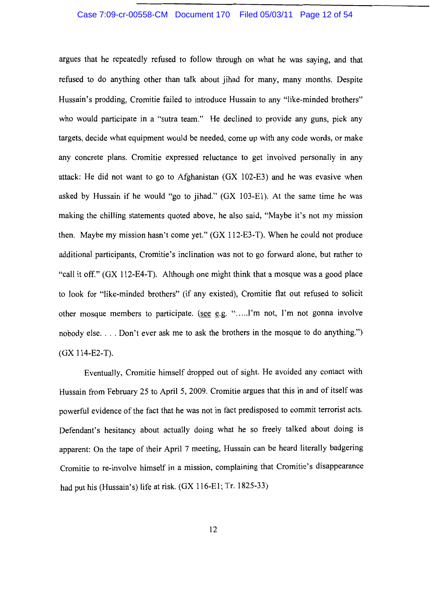## Case 7:09-cr-00558-CM Document 170 Filed 05/03/11 Page 12 of 54

argues that he repeatedly refused to follow through on what he was saying, and that refused to do anything other than talk about jihad for many, many months. Despite Hussain's prodding, Cromitie failed to introduce Hussain to any "like-minded brothers" who would participate in a "sutra team." He declined to provide any guns, pick any targets, decide what equipment would be needed, come up with any code words, or make any concrete plans. Cromitie expressed reluctance to get involved personally in any attack: He did not want to go to Afghanistan (GX 102-E3) and he was evasive when asked by Hussain if he would "go to jihad." (GX 103-E1). At the same time he was making the chilling statements quoted above, he also said, "Maybe it's not my mission then. Maybe my mission hasn't come yet." (GX 112-E3-T). When he could not produce additional participants, Cromitie's inclination was not to go forward alone, but rather to "call it off." (GX 112-E4-T). Although one might think that a mosque was a good place to look for "like-minded brothers" (if any existed), Cromitie flat out refused to solicit other mosque members to participate. (see e.g. ".......I'm not, I'm not gonna involve nobody else.... Don't ever ask me to ask the brothers in the mosque to do anything.")  $(GX 114-E2-T).$ 

Eventually, Cromitie himself dropped out of sight. He avoided any contact with Hussain from February 25 to April 5, 2009. Cromitie argues that this in and of itself was powerful evidence of the fact that he was not in fact predisposed to commit terrorist acts. Defendant's hesitancy about actually doing what he so freely talked about doing is apparent: On the tape of their April 7 meeting, Hussain can be heard literally badgering Cromitie to re-involve himself in a mission, complaining that Cromitie's disappearance had put his (Hussain's) life at risk. (GX 116-E1; Tr. 1825-33)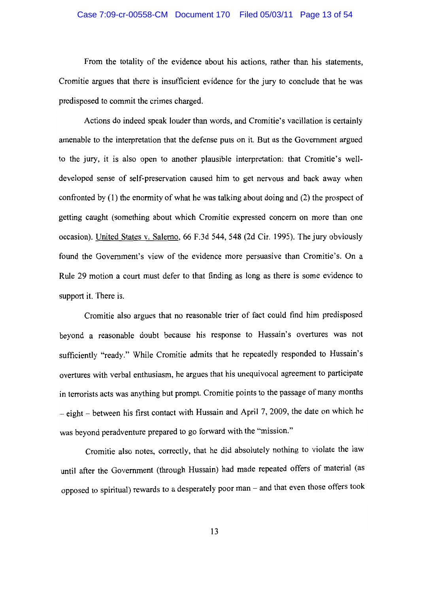From the totality of the evidence about his actions, rather than his statements, Cromitie argues that there is insufficient evidence for the jury to conclude that he was predisposed to commit the crimes charged.

Actions do indeed speak louder than words, and Cromitie's vacillation is certainly amenable to the interpretation that the defense puts on it. But as the Government argued to the jury, it is also open to another plausible interpretation: that Cromitie's welldeveloped sense of self-preservation caused him to get nervous and back away when confronted by  $(1)$  the enormity of what he was talking about doing and  $(2)$  the prospect of getting caught (something about which Cromitie expressed concern on more than one occasion). United States v. Salerno, 66 F.3d 544, 548 (2d Cir. 1995). The jury obviously found the Government's view of the evidence more persuasive than Cromitie's. On a Rule 29 motion a court must defer to that finding as long as there is some evidence to support it. There is.

Cromitie also argues that no reasonable trier of fact could find him predisposed beyond a reasonable doubt because his response to Hussain's overtures was not sufficiently "ready." While Cromitie admits that he repeatedly responded to Hussain's overtures with verbal enthusiasm, he argues that his unequivocal agreement to participate in terrorists acts was anything but prompt. Cromitie points to the passage of many months - eight - between his first contact with Hussain and April 7, 2009, the date on which he was beyond peradventure prepared to go forward with the "mission."

Cromitie also notes, correctly, that he did absolutely nothing to violate the law until after the Government (through Hussain) had made repeated offers of material (as opposed to spiritual) rewards to a desperately poor man - and that even those offers took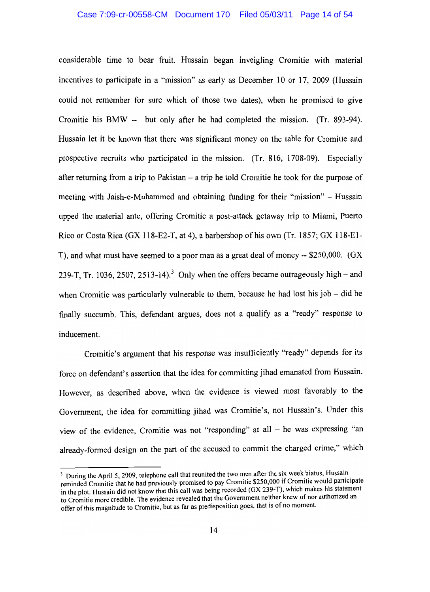#### Case 7:09-cr-00558-CM Document 170 Filed 05/03/11 Page 14 of 54

considerable time to bear fruit. Hussain began inveigling Cromitie with material incentives to participate in a "mission" as early as December 10 or 17, 2009 (Hussain could not remember for sure which of those two dates), when he promised to give Cromitie his BMW -- but only after he had completed the mission. (Tr. 893-94). Hussain let it be known that there was significant money on the table for Cromitie and prospective recruits who participated in the mission. (Tr. 816, 1708-09). Especially after returning from a trip to Pakistan  $-$  a trip he told Cromitie he took for the purpose of meeting with Jaish-e-Muhammed and obtaining funding for their "mission" - Hussain upped the material ante, offering Cromitie a post-attack getaway trip to Miami, Puerto Rico or Costa Rica (GX 118-E2-T, at 4), a barbershop of his own (Tr. 1857; GX 118-E1-T), and what must have seemed to a poor man as a great deal of money -- \$250,000. (GX 239-T. Tr. 1036, 2507, 2513-14).<sup>3</sup> Only when the offers became outrageously high – and when Cromitie was particularly vulnerable to them, because he had lost his job  $-$  did he finally succumb. This, defendant argues, does not a qualify as a "ready" response to inducement.

Cromitie's argument that his response was insufficiently "ready" depends for its force on defendant's assertion that the idea for committing jihad emanated from Hussain. However, as described above, when the evidence is viewed most favorably to the Government, the idea for committing jihad was Cromitie's, not Hussain's. Under this view of the evidence, Cromitie was not "responding" at all - he was expressing "an already-formed design on the part of the accused to commit the charged crime," which

<sup>&</sup>lt;sup>3</sup> During the April 5, 2009, telephone call that reunited the two men after the six week hiatus, Hussain reminded Cromitie that he had previously promised to pay Cromitie \$250,000 if Cromitie would participate in the plot. Hussain did not know that this call was being recorded (GX 239-T), which makes his statement to Cromitie more credible. The evidence revealed that the Government neither knew of nor authorized an offer of this magnitude to Cromitie, but as far as predisposition goes, that is of no moment.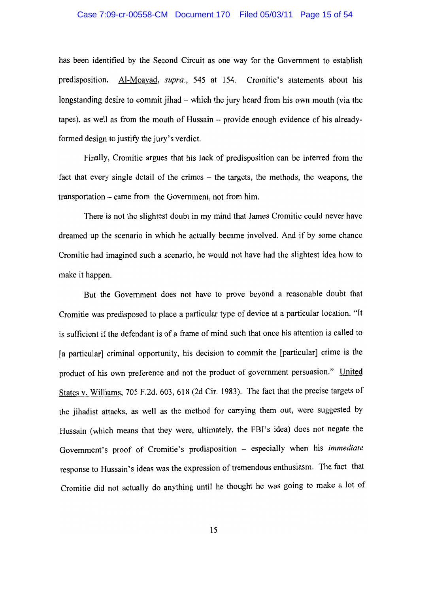## Case 7:09-cr-00558-CM Document 170 Filed 05/03/11 Page 15 of 54

has been identified by the Second Circuit as one way for the Government to establish predisposition. Al-Moayad, supra., 545 at 154. Cromitie's statements about his longstanding desire to commit jihad – which the jury heard from his own mouth (via the tapes), as well as from the mouth of Hussain – provide enough evidence of his alreadyformed design to justify the jury's verdict.

Finally, Cromitie argues that his lack of predisposition can be inferred from the fact that every single detail of the crimes – the targets, the methods, the weapons, the transportation – came from the Government, not from him.

There is not the slightest doubt in my mind that James Cromitie could never have dreamed up the scenario in which he actually became involved. And if by some chance Cromitie had imagined such a scenario, he would not have had the slightest idea how to make it happen.

But the Government does not have to prove beyond a reasonable doubt that Cromitie was predisposed to place a particular type of device at a particular location. "It is sufficient if the defendant is of a frame of mind such that once his attention is called to [a particular] criminal opportunity, his decision to commit the [particular] crime is the product of his own preference and not the product of government persuasion." United States v. Williams, 705 F.2d. 603, 618 (2d Cir. 1983). The fact that the precise targets of the jihadist attacks, as well as the method for carrying them out, were suggested by Hussain (which means that they were, ultimately, the FBI's idea) does not negate the Government's proof of Cromitie's predisposition - especially when his immediate response to Hussain's ideas was the expression of tremendous enthusiasm. The fact that Cromitie did not actually do anything until he thought he was going to make a lot of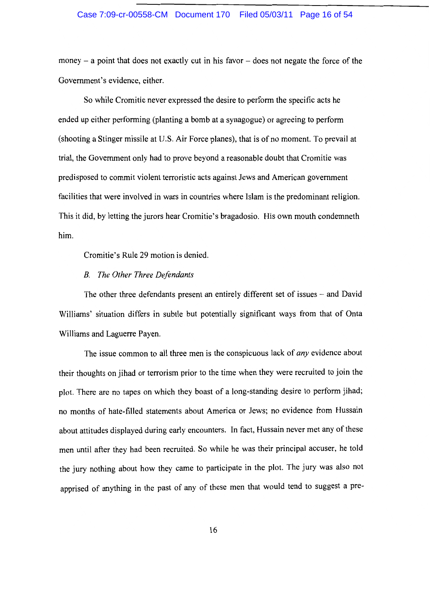#### Case 7:09-cr-00558-CM Document 170 Filed 05/03/11 Page 16 of 54

money – a point that does not exactly cut in his favor – does not negate the force of the Government's evidence, either.

So while Cromitie never expressed the desire to perform the specific acts he ended up either performing (planting a bomb at a synagogue) or agreeing to perform (shooting a Stinger missile at U.S. Air Force planes), that is of no moment. To prevail at trial, the Government only had to prove beyond a reasonable doubt that Cromitie was predisposed to commit violent terroristic acts against Jews and American government facilities that were involved in wars in countries where Islam is the predominant religion. This it did, by letting the jurors hear Cromitie's bragadosio. His own mouth condemneth him.

Cromitie's Rule 29 motion is denied.

## **B.** The Other Three Defendants

The other three defendants present an entirely different set of issues – and David Williams' situation differs in subtle but potentially significant ways from that of Onta Williams and Laguerre Payen.

The issue common to all three men is the conspicuous lack of *any* evidence about their thoughts on jihad or terrorism prior to the time when they were recruited to join the plot. There are no tapes on which they boast of a long-standing desire to perform jihad; no months of hate-filled statements about America or Jews; no evidence from Hussain about attitudes displayed during early encounters. In fact, Hussain never met any of these men until after they had been recruited. So while he was their principal accuser, he told the jury nothing about how they came to participate in the plot. The jury was also not apprised of anything in the past of any of these men that would tend to suggest a pre-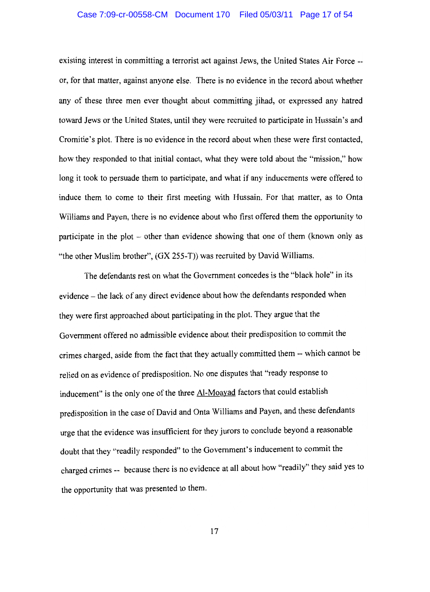## Case 7:09-cr-00558-CM Document 170 Filed 05/03/11 Page 17 of 54

existing interest in committing a terrorist act against Jews, the United States Air Force -or, for that matter, against anyone else. There is no evidence in the record about whether any of these three men ever thought about committing jihad, or expressed any hatred toward Jews or the United States, until they were recruited to participate in Hussain's and Cromitie's plot. There is no evidence in the record about when these were first contacted, how they responded to that initial contact, what they were told about the "mission," how long it took to persuade them to participate, and what if any inducements were offered to induce them to come to their first meeting with Hussain. For that matter, as to Onta Williams and Payen, there is no evidence about who first offered them the opportunity to participate in the plot – other than evidence showing that one of them (known only as "the other Muslim brother", (GX 255-T)) was recruited by David Williams.

The defendants rest on what the Government concedes is the "black hole" in its evidence – the lack of any direct evidence about how the defendants responded when they were first approached about participating in the plot. They argue that the Government offered no admissible evidence about their predisposition to commit the crimes charged, aside from the fact that they actually committed them -- which cannot be relied on as evidence of predisposition. No one disputes that "ready response to inducement" is the only one of the three Al-Moayad factors that could establish predisposition in the case of David and Onta Williams and Payen, and these defendants urge that the evidence was insufficient for they jurors to conclude beyond a reasonable doubt that they "readily responded" to the Government's inducement to commit the charged crimes -- because there is no evidence at all about how "readily" they said yes to the opportunity that was presented to them.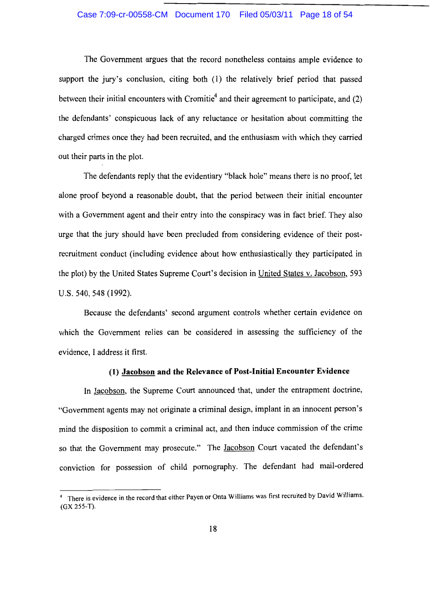#### Case 7:09-cr-00558-CM Document 170 Filed 05/03/11 Page 18 of 54

The Government argues that the record nonetheless contains ample evidence to support the jury's conclusion, citing both (1) the relatively brief period that passed between their initial encounters with Cromitie<sup>4</sup> and their agreement to participate, and (2) the defendants' conspicuous lack of any reluctance or hesitation about committing the charged crimes once they had been recruited, and the enthusiasm with which they carried out their parts in the plot.

The defendants reply that the evidentiary "black hole" means there is no proof, let alone proof beyond a reasonable doubt, that the period between their initial encounter with a Government agent and their entry into the conspiracy was in fact brief. They also urge that the jury should have been precluded from considering evidence of their postrecruitment conduct (including evidence about how enthusiastically they participated in the plot) by the United States Supreme Court's decision in United States v. Jacobson, 593 U.S. 540, 548 (1992).

Because the defendants' second argument controls whether certain evidence on which the Government relies can be considered in assessing the sufficiency of the evidence, I address it first.

## (1) Jacobson and the Relevance of Post-Initial Encounter Evidence

In Jacobson, the Supreme Court announced that, under the entrapment doctrine, "Government agents may not originate a criminal design, implant in an innocent person's mind the disposition to commit a criminal act, and then induce commission of the crime so that the Government may prosecute." The Jacobson Court vacated the defendant's conviction for possession of child pornography. The defendant had mail-ordered

<sup>&</sup>lt;sup>4</sup> There is evidence in the record that either Payen or Onta Williams was first recruited by David Williams.  $(GX 255-T).$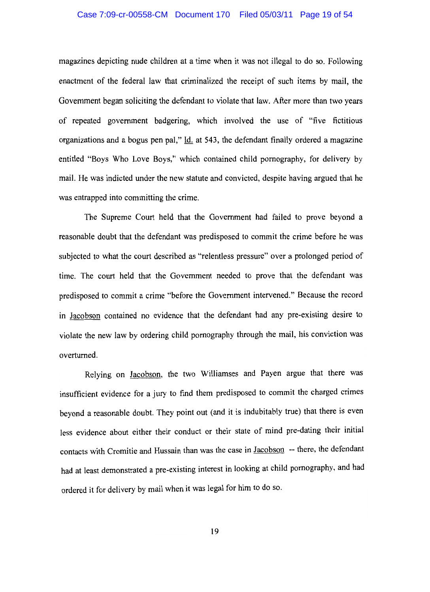## Case 7:09-cr-00558-CM Document 170 Filed 05/03/11 Page 19 of 54

magazines depicting nude children at a time when it was not illegal to do so. Following enactment of the federal law that criminalized the receipt of such items by mail, the Government began soliciting the defendant to violate that law. After more than two years of repeated government badgering, which involved the use of "five fictitious" organizations and a bogus pen pal," Id. at 543, the defendant finally ordered a magazine entitled "Boys Who Love Boys," which contained child pornography, for delivery by mail. He was indicted under the new statute and convicted, despite having argued that he was entrapped into committing the crime.

The Supreme Court held that the Government had failed to prove beyond a reasonable doubt that the defendant was predisposed to commit the crime before he was subjected to what the court described as "relentless pressure" over a prolonged period of time. The court held that the Government needed to prove that the defendant was predisposed to commit a crime "before the Government intervened." Because the record in Jacobson contained no evidence that the defendant had any pre-existing desire to violate the new law by ordering child pornography through the mail, his conviction was overturned.

Relying on Jacobson, the two Williamses and Payen argue that there was insufficient evidence for a jury to find them predisposed to commit the charged crimes beyond a reasonable doubt. They point out (and it is indubitably true) that there is even less evidence about either their conduct or their state of mind pre-dating their initial contacts with Cromitie and Hussain than was the case in Jacobson -- there, the defendant had at least demonstrated a pre-existing interest in looking at child pornography, and had ordered it for delivery by mail when it was legal for him to do so.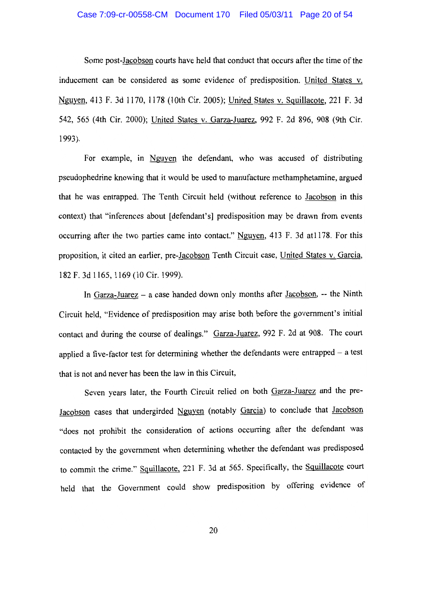## Case 7:09-cr-00558-CM Document 170 Filed 05/03/11 Page 20 of 54

Some post-Jacobson courts have held that conduct that occurs after the time of the inducement can be considered as some evidence of predisposition. United States v. Nguyen, 413 F. 3d 1170, 1178 (10th Cir. 2005); United States v. Squillacote, 221 F. 3d 542, 565 (4th Cir. 2000); United States v. Garza-Juarez, 992 F. 2d 896, 908 (9th Cir.  $1993$ ).

For example, in Nguyen the defendant, who was accused of distributing pseudophedrine knowing that it would be used to manufacture methamphetamine, argued that he was entrapped. The Tenth Circuit held (without reference to Jacobson in this context) that "inferences about [defendant's] predisposition may be drawn from events occurring after the two parties came into contact." Nguyen, 413 F. 3d at 1178. For this proposition, it cited an earlier, pre-Jacobson Tenth Circuit case, United States v. Garcia, 182 F. 3d 1165, 1169 (10 Cir. 1999).

In Garza-Juarez – a case handed down only months after Jacobson,  $-$  the Ninth Circuit held, "Evidence of predisposition may arise both before the government's initial contact and during the course of dealings." Garza-Juarez, 992 F. 2d at 908. The court applied a five-factor test for determining whether the defendants were entrapped  $-$  a test that is not and never has been the law in this Circuit.

Seven years later, the Fourth Circuit relied on both Garza-Juarez and the pre-Jacobson cases that undergirded Nguyen (notably Garcia) to conclude that Jacobson "does not prohibit the consideration of actions occurring after the defendant was contacted by the government when determining whether the defendant was predisposed to commit the crime." Squillacote, 221 F. 3d at 565. Specifically, the Squillacote court held that the Government could show predisposition by offering evidence of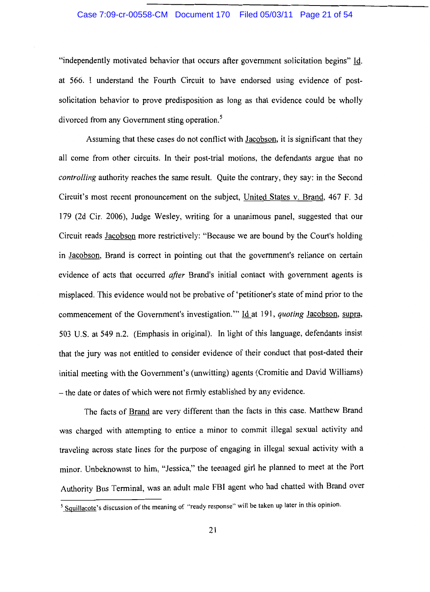#### Case 7:09-cr-00558-CM Document 170 Filed 05/03/11 Page 21 of 54

"independently motivated behavior that occurs after government solicitation begins" Id. at 566. I understand the Fourth Circuit to have endorsed using evidence of postsolicitation behavior to prove predisposition as long as that evidence could be wholly divorced from any Government sting operation.<sup>5</sup>

Assuming that these cases do not conflict with Jacobson, it is significant that they all come from other circuits. In their post-trial motions, the defendants argue that no *controlling* authority reaches the same result. Quite the contrary, they say: in the Second Circuit's most recent pronouncement on the subject, United States v. Brand, 467 F. 3d 179 (2d Cir. 2006), Judge Wesley, writing for a unanimous panel, suggested that our Circuit reads Jacobson more restrictively: "Because we are bound by the Court's holding in Jacobson, Brand is correct in pointing out that the government's reliance on certain evidence of acts that occurred *after* Brand's initial contact with government agents is misplaced. This evidence would not be probative of 'petitioner's state of mind prior to the commencement of the Government's investigation." Id at 191, quoting Jacobson, supra, 503 U.S. at 549 n.2. (Emphasis in original). In light of this language, defendants insist that the jury was not entitled to consider evidence of their conduct that post-dated their initial meeting with the Government's (unwitting) agents (Cromitie and David Williams) - the date or dates of which were not firmly established by any evidence.

The facts of Brand are very different than the facts in this case. Matthew Brand was charged with attempting to entice a minor to commit illegal sexual activity and traveling across state lines for the purpose of engaging in illegal sexual activity with a minor. Unbeknownst to him, "Jessica," the teenaged girl he planned to meet at the Port Authority Bus Terminal, was an adult male FBI agent who had chatted with Brand over

<sup>&</sup>lt;sup>5</sup> Squillacote's discussion of the meaning of "ready response" will be taken up later in this opinion.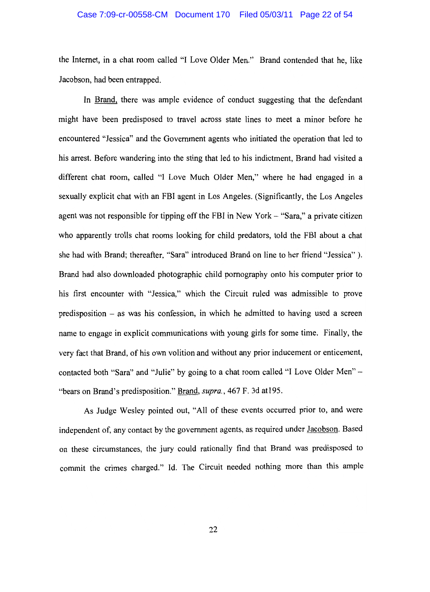### Case 7:09-cr-00558-CM Document 170 Filed 05/03/11 Page 22 of 54

the Internet, in a chat room called "I Love Older Men." Brand contended that he, like Jacobson, had been entrapped.

In Brand, there was ample evidence of conduct suggesting that the defendant might have been predisposed to travel across state lines to meet a minor before he encountered "Jessica" and the Government agents who initiated the operation that led to his arrest. Before wandering into the sting that led to his indictment. Brand had visited a different chat room, called "I Love Much Older Men," where he had engaged in a sexually explicit chat with an FBI agent in Los Angeles. (Significantly, the Los Angeles agent was not responsible for tipping off the FBI in New York – "Sara," a private citizen who apparently trolls chat rooms looking for child predators, told the FBI about a chat she had with Brand; thereafter, "Sara" introduced Brand on line to her friend "Jessica"). Brand had also downloaded photographic child pornography onto his computer prior to his first encounter with "Jessica," which the Circuit ruled was admissible to prove predisposition  $-$  as was his confession, in which he admitted to having used a screen name to engage in explicit communications with young girls for some time. Finally, the very fact that Brand, of his own volition and without any prior inducement or enticement, contacted both "Sara" and "Julie" by going to a chat room called "I Love Older Men" -"bears on Brand's predisposition." Brand, supra., 467 F. 3d at 195.

As Judge Wesley pointed out, "All of these events occurred prior to, and were independent of, any contact by the government agents, as required under Jacobson. Based on these circumstances, the jury could rationally find that Brand was predisposed to commit the crimes charged." Id. The Circuit needed nothing more than this ample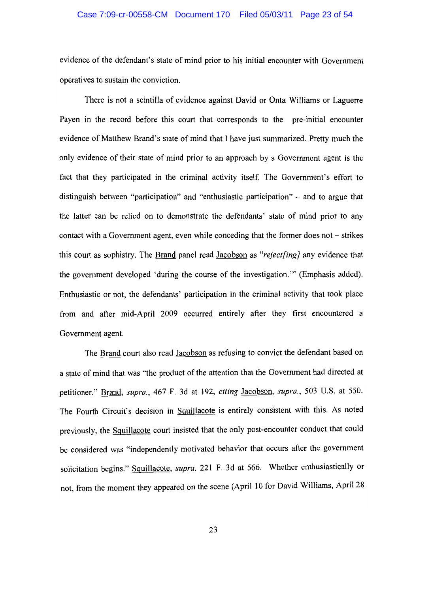## Case 7:09-cr-00558-CM Document 170 Filed 05/03/11 Page 23 of 54

evidence of the defendant's state of mind prior to his initial encounter with Government operatives to sustain the conviction.

There is not a scintilla of evidence against David or Onta Williams or Laguerre Payen in the record before this court that corresponds to the pre-initial encounter evidence of Matthew Brand's state of mind that I have just summarized. Pretty much the only evidence of their state of mind prior to an approach by a Government agent is the fact that they participated in the criminal activity itself. The Government's effort to distinguish between "participation" and "enthusiastic participation" – and to argue that the latter can be relied on to demonstrate the defendants' state of mind prior to any contact with a Government agent, even while conceding that the former does not – strikes this court as sophistry. The Brand panel read Jacobson as "reject[ing] any evidence that the government developed 'during the course of the investigation." (Emphasis added). Enthusiastic or not, the defendants' participation in the criminal activity that took place from and after mid-April 2009 occurred entirely after they first encountered a Government agent.

The Brand court also read Jacobson as refusing to convict the defendant based on a state of mind that was "the product of the attention that the Government had directed at petitioner." Brand, supra., 467 F. 3d at 192, citing Jacobson, supra., 503 U.S. at 550. The Fourth Circuit's decision in Squillacote is entirely consistent with this. As noted previously, the Squillacote court insisted that the only post-encounter conduct that could be considered was "independently motivated behavior that occurs after the government solicitation begins." Squillacote, supra. 221 F. 3d at 566. Whether enthusiastically or not, from the moment they appeared on the scene (April 10 for David Williams, April 28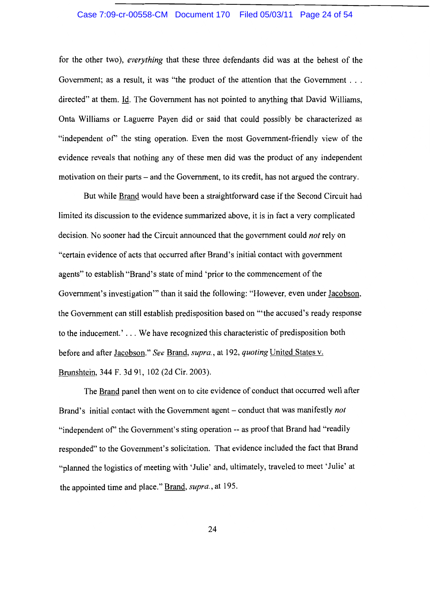## Case 7:09-cr-00558-CM Document 170 Filed 05/03/11 Page 24 of 54

for the other two), everything that these three defendants did was at the behest of the Government; as a result, it was "the product of the attention that the Government . . . directed" at them. Id. The Government has not pointed to anything that David Williams, Onta Williams or Laguerre Payen did or said that could possibly be characterized as "independent of" the sting operation. Even the most Government-friendly view of the evidence reveals that nothing any of these men did was the product of any independent motivation on their parts – and the Government, to its credit, has not argued the contrary.

But while Brand would have been a straightforward case if the Second Circuit had limited its discussion to the evidence summarized above, it is in fact a very complicated decision. No sooner had the Circuit announced that the government could not rely on "certain evidence of acts that occurred after Brand's initial contact with government agents" to establish "Brand's state of mind 'prior to the commencement of the Government's investigation" than it said the following: "However, even under Jacobson, the Government can still establish predisposition based on "the accused's ready response to the inducement.'... We have recognized this characteristic of predisposition both before and after Jacobson." See Brand, supra., at 192, quoting United States v. Brunshtein, 344 F. 3d 91, 102 (2d Cir. 2003).

The Brand panel then went on to cite evidence of conduct that occurred well after Brand's initial contact with the Government agent – conduct that was manifestly not "independent of" the Government's sting operation -- as proof that Brand had "readily" responded" to the Government's solicitation. That evidence included the fact that Brand "planned the logistics of meeting with 'Julie' and, ultimately, traveled to meet 'Julie' at the appointed time and place." Brand, supra., at 195.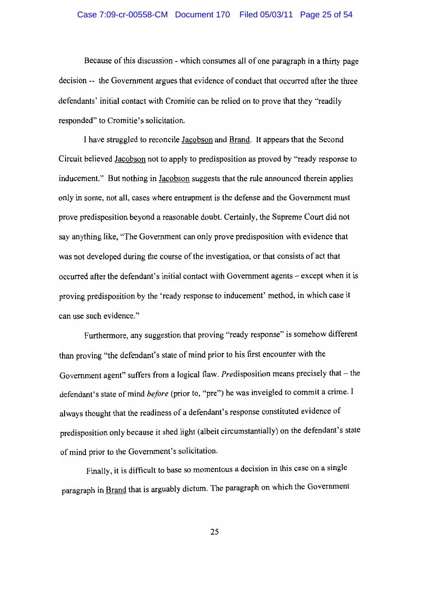## Case 7:09-cr-00558-CM Document 170 Filed 05/03/11 Page 25 of 54

Because of this discussion - which consumes all of one paragraph in a thirty page decision -- the Government argues that evidence of conduct that occurred after the three defendants' initial contact with Cromitie can be relied on to prove that they "readily responded" to Cromitie's solicitation.

I have struggled to reconcile Jacobson and Brand. It appears that the Second Circuit believed Jacobson not to apply to predisposition as proved by "ready response to inducement." But nothing in Jacobson suggests that the rule announced therein applies only in some, not all, cases where entrapment is the defense and the Government must prove predisposition beyond a reasonable doubt. Certainly, the Supreme Court did not say anything like, "The Government can only prove predisposition with evidence that was not developed during the course of the investigation, or that consists of act that occurred after the defendant's initial contact with Government agents – except when it is proving predisposition by the 'ready response to inducement' method, in which case it can use such evidence."

Furthermore, any suggestion that proving "ready response" is somehow different than proving "the defendant's state of mind prior to his first encounter with the Government agent" suffers from a logical flaw. Predisposition means precisely that  $-$  the defendant's state of mind before (prior to, "pre") he was inveigled to commit a crime. I always thought that the readiness of a defendant's response constituted evidence of predisposition only because it shed light (albeit circumstantially) on the defendant's state of mind prior to the Government's solicitation.

Finally, it is difficult to base so momentous a decision in this case on a single paragraph in Brand that is arguably dictum. The paragraph on which the Government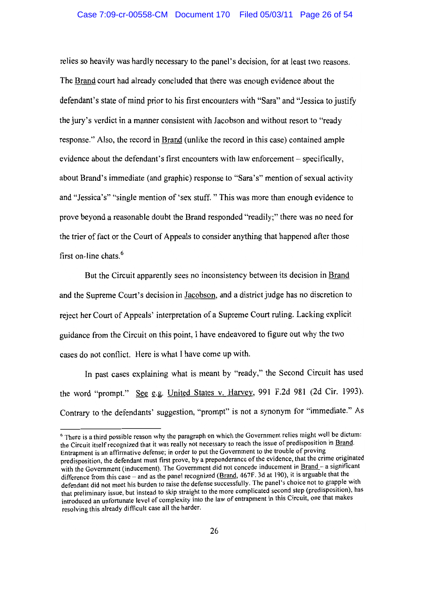relies so heavily was hardly necessary to the panel's decision, for at least two reasons. The Brand court had already concluded that there was enough evidence about the defendant's state of mind prior to his first encounters with "Sara" and "Jessica to justify the jury's verdict in a manner consistent with Jacobson and without resort to "ready" response." Also, the record in Brand (unlike the record in this case) contained ample evidence about the defendant's first encounters with law enforcement – specifically, about Brand's immediate (and graphic) response to "Sara's" mention of sexual activity and "Jessica's" "single mention of 'sex stuff. " This was more than enough evidence to prove beyond a reasonable doubt the Brand responded "readily;" there was no need for the trier of fact or the Court of Appeals to consider anything that happened after those first on-line chats.<sup>6</sup>

But the Circuit apparently sees no inconsistency between its decision in Brand and the Supreme Court's decision in Jacobson, and a district judge has no discretion to reject her Court of Appeals' interpretation of a Supreme Court ruling. Lacking explicit equidance from the Circuit on this point. I have endeavored to figure out why the two cases do not conflict. Here is what I have come up with.

In past cases explaining what is meant by "ready," the Second Circuit has used the word "prompt." See e.g. United States v. Harvey, 991 F.2d 981 (2d Cir. 1993). Contrary to the defendants' suggestion, "prompt" is not a synonym for "immediate." As

<sup>&</sup>lt;sup>6</sup> There is a third possible reason why the paragraph on which the Government relies might well be dictum: the Circuit itself recognized that it was really not necessary to reach the issue of predisposition in Brand. Entrapment is an affirmative defense; in order to put the Government to the trouble of proving predisposition, the defendant must first prove, by a preponderance of the evidence, that the crime originated with the Government (inducement). The Government did not concede inducement in Brand - a significant difference from this case – and as the panel recognized (Brand, 467F. 3d at 190), it is arguable that the defendant did not meet his burden to raise the defense successfully. The panel's choice not to grapple with that preliminary issue, but instead to skip straight to the more complicated second step (predisposition), has introduced an unfortunate level of complexity into the law of entrapment in this Circuit, one that makes resolving this already difficult case all the harder.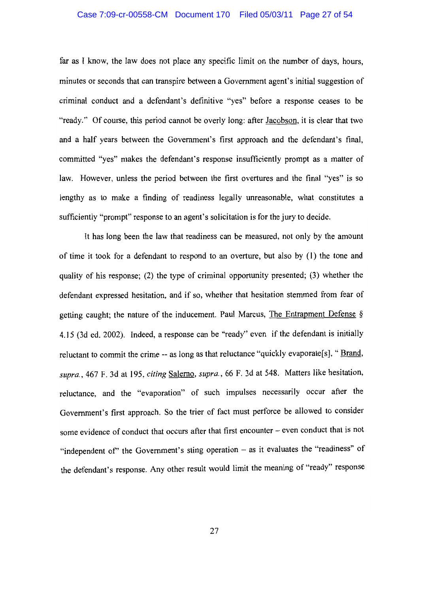## Case 7:09-cr-00558-CM Document 170 Filed 05/03/11 Page 27 of 54

far as I know, the law does not place any specific limit on the number of days, hours, minutes or seconds that can transpire between a Government agent's initial suggestion of criminal conduct and a defendant's definitive "yes" before a response ceases to be "ready." Of course, this period cannot be overly long: after Jacobson, it is clear that two and a half years between the Government's first approach and the defendant's final, committed "yes" makes the defendant's response insufficiently prompt as a matter of law. However, unless the period between the first overtures and the final "yes" is so lengthy as to make a finding of readiness legally unreasonable, what constitutes a sufficiently "prompt" response to an agent's solicitation is for the jury to decide.

It has long been the law that readiness can be measured, not only by the amount of time it took for a defendant to respond to an overture, but also by (1) the tone and quality of his response; (2) the type of criminal opportunity presented; (3) whether the defendant expressed hesitation, and if so, whether that hesitation stemmed from fear of getting caught; the nature of the inducement. Paul Marcus, The Entrapment Defense § 4.15 (3d ed. 2002). Indeed, a response can be "ready" even if the defendant is initially reluctant to commit the crime -- as long as that reluctance "quickly evaporate[s], " Brand, supra., 467 F. 3d at 195, citing Salerno, supra., 66 F. 3d at 548. Matters like hesitation, reluctance, and the "evaporation" of such impulses necessarily occur after the Government's first approach. So the trier of fact must perforce be allowed to consider some evidence of conduct that occurs after that first encounter – even conduct that is not "independent of" the Government's sting operation - as it evaluates the "readiness" of the defendant's response. Any other result would limit the meaning of "ready" response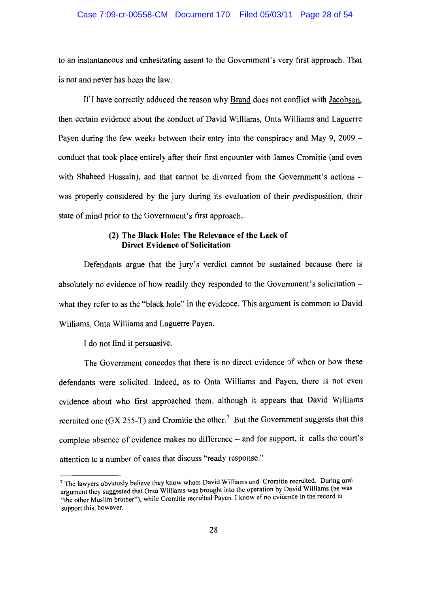#### Case 7:09-cr-00558-CM Document 170 Filed 05/03/11 Page 28 of 54

to an instantaneous and unhesitating assent to the Government's very first approach. That is not and never has been the law.

If I have correctly adduced the reason why Brand does not conflict with Jacobson, then certain evidence about the conduct of David Williams, Onta Williams and Laguerre Payen during the few weeks between their entry into the conspiracy and May 9, 2009 – conduct that took place entirely after their first encounter with James Cromitie (and even with Shaheed Hussain), and that cannot be divorced from the Government's actions – was properly considered by the jury during its evaluation of their *predisposition*, their state of mind prior to the Government's first approach,.

## (2) The Black Hole: The Relevance of the Lack of **Direct Evidence of Solicitation**

Defendants argue that the jury's verdict cannot be sustained because there is absolutely no evidence of how readily they responded to the Government's solicitation – what they refer to as the "black hole" in the evidence. This argument is common to David Williams, Onta Williams and Laguerre Payen.

I do not find it persuasive.

The Government concedes that there is no direct evidence of when or how these defendants were solicited. Indeed, as to Onta Williams and Payen, there is not even evidence about who first approached them, although it appears that David Williams recruited one (GX 255-T) and Cromitie the other.<sup>7</sup> But the Government suggests that this complete absence of evidence makes no difference - and for support, it calls the court's attention to a number of cases that discuss "ready response."

<sup>&</sup>lt;sup>7</sup> The lawyers obviously believe they know whom David Williams and Cromitie recruited. During oral argument they suggested that Onta Williams was brought into the operation by David Williams (he was "the other Muslim brother"), while Cromitie recruited Payen. I know of no evidence in the record to support this, however.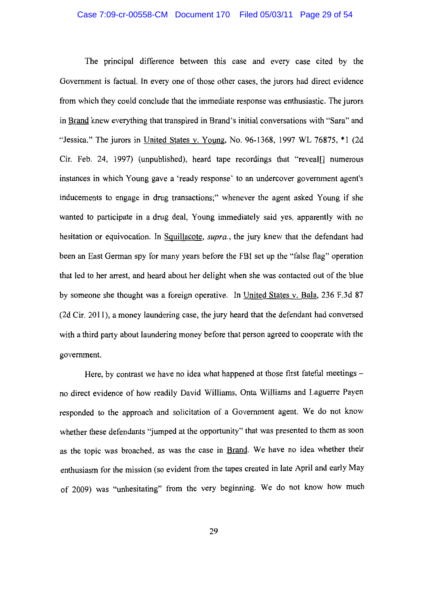The principal difference between this case and every case cited by the Government is factual. In every one of those other cases, the jurors had direct evidence from which they could conclude that the immediate response was enthusiastic. The jurors in Brand knew everything that transpired in Brand's initial conversations with "Sara" and "Jessica." The jurors in United States v. Young, No. 96-1368, 1997 WL 76875, \*1 (2d) Cir. Feb. 24, 1997) (unpublished), heard tape recordings that "reveal[] numerous instances in which Young gave a 'ready response' to an undercover government agent's inducements to engage in drug transactions;" whenever the agent asked Young if she wanted to participate in a drug deal, Young immediately said yes, apparently with no hesitation or equivocation. In Squillacote, *supra*, the jury knew that the defendant had been an East German spy for many years before the FBI set up the "false flag" operation that led to her arrest, and heard about her delight when she was contacted out of the blue by someone she thought was a foreign operative. In United States v. Bala, 236 F.3d 87 (2d Cir. 2011), a money laundering case, the jury heard that the defendant had conversed with a third party about laundering money before that person agreed to cooperate with the government.

Here, by contrast we have no idea what happened at those first fateful meetings no direct evidence of how readily David Williams, Onta Williams and Laguerre Payen responded to the approach and solicitation of a Government agent. We do not know whether these defendants "jumped at the opportunity" that was presented to them as soon as the topic was broached, as was the case in Brand. We have no idea whether their enthusiasm for the mission (so evident from the tapes created in late April and early May of 2009) was "unhesitating" from the very beginning. We do not know how much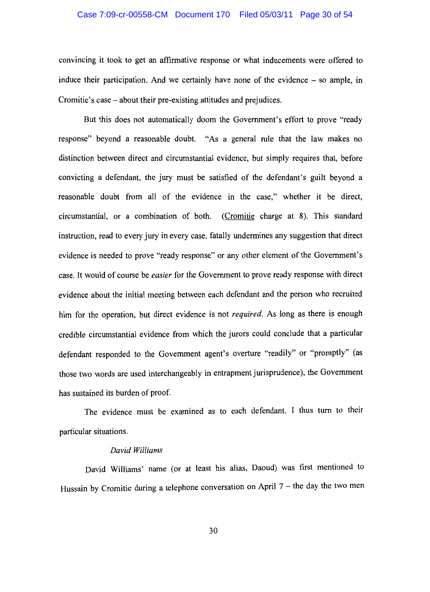## Case 7:09-cr-00558-CM Document 170 Filed 05/03/11 Page 30 of 54

convincing it took to get an affirmative response or what inducements were offered to induce their participation. And we certainly have none of the evidence – so ample, in Cromitie's case – about their pre-existing attitudes and prejudices.

But this does not automatically doom the Government's effort to prove "ready" response" beyond a reasonable doubt. "As a general rule that the law makes no distinction between direct and circumstantial evidence, but simply requires that, before convicting a defendant, the jury must be satisfied of the defendant's guilt beyond a reasonable doubt from all of the evidence in the case," whether it be direct, circumstantial, or a combination of both. (Cromitie charge at 8). This standard instruction, read to every jury in every case, fatally undermines any suggestion that direct evidence is needed to prove "ready response" or any other element of the Government's case. It would of course be *easier* for the Government to prove ready response with direct evidence about the initial meeting between each defendant and the person who recruited him for the operation, but direct evidence is not *required*. As long as there is enough credible circumstantial evidence from which the jurors could conclude that a particular defendant responded to the Government agent's overture "readily" or "promptly" (as those two words are used interchangeably in entrapment jurisprudence), the Government has sustained its burden of proof.

The evidence must be examined as to each defendant. I thus turn to their particular situations.

#### David Williams

David Williams' name (or at least his alias, Daoud) was first mentioned to Hussain by Cromitie during a telephone conversation on April  $7$  – the day the two men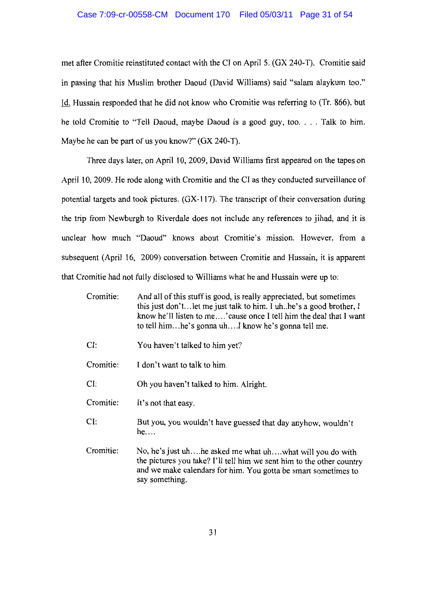## Case 7:09-cr-00558-CM Document 170 Filed 05/03/11 Page 31 of 54

met after Cromitie reinstituted contact with the CI on April 5. (GX 240-T). Cromitie said in passing that his Muslim brother Daoud (David Williams) said "salam alaykum too." Id. Hussain responded that he did not know who Cromitie was referring to (Tr. 866), but he told Cromitie to "Tell Daoud, maybe Daoud is a good guy, too.... Talk to him. Maybe he can be part of us you know?" (GX 240-T).

Three days later, on April 10, 2009, David Williams first appeared on the tapes on April 10, 2009. He rode along with Cromitie and the CI as they conducted surveillance of potential targets and took pictures. (GX-117). The transcript of their conversation during the trip from Newburgh to Riverdale does not include any references to jihad, and it is unclear how much "Daoud" knows about Cromitie's mission. However, from a subsequent (April 16, 2009) conversation between Cromitie and Hussain, it is apparent that Cromitie had not fully disclosed to Williams what he and Hussain were up to:

| Cromitie: | And all of this stuff is good, is really appreciated, but sometimes<br>this just don't let me just talk to him. I uh he's a good brother, I<br>know he'll listen to me'cause once I tell him the deal that I want<br>to tell himhe's gonna uhI know he's gonna tell me. |
|-----------|-------------------------------------------------------------------------------------------------------------------------------------------------------------------------------------------------------------------------------------------------------------------------|
| CI:       | You haven't talked to him yet?                                                                                                                                                                                                                                          |
| Cromitie: | I don't want to talk to him.                                                                                                                                                                                                                                            |

 $CI:$ Oh you haven't talked to him. Alright.

Cromitie: It's not that easy.

- CI: But you, you wouldn't have guessed that day anyhow, wouldn't  $he...$
- No, he's just uh....he asked me what uh....what will you do with Cromitie: the pictures you take? I'll tell him we sent him to the other country and we make calendars for him. You gotta be smart sometimes to say something.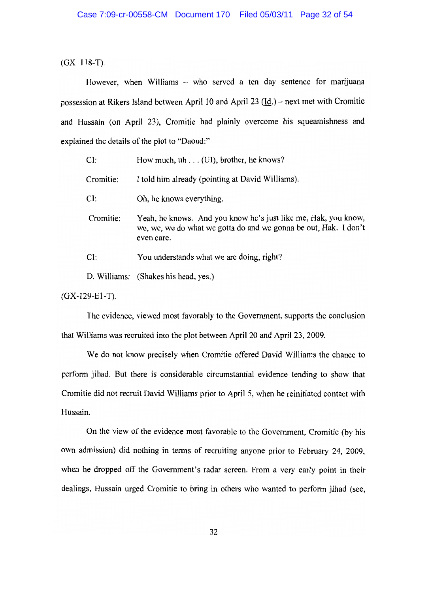$(GX 118-T).$ 

However, when Williams - who served a ten day sentence for marijuana possession at Rikers Island between April 10 and April 23  $(\underline{Id})$  – next met with Cromitie and Hussain (on April 23), Cromitie had plainly overcome his squeamishness and explained the details of the plot to "Daoud:"

| CI:       | How much, $uh \dots$ (UI), brother, he knows?                                                                                                    |
|-----------|--------------------------------------------------------------------------------------------------------------------------------------------------|
| Cromitie: | I told him already (pointing at David Williams).                                                                                                 |
| CI:       | Oh, he knows everything.                                                                                                                         |
| Cromitie: | Yeah, he knows. And you know he's just like me, Hak, you know,<br>we, we, we do what we gotta do and we gonna be out, Hak. I don't<br>even care. |
| CI:       | You understands what we are doing, right?                                                                                                        |
|           | D. Williams: (Shakes his head, yes.)                                                                                                             |
|           |                                                                                                                                                  |

 $(GX-129-E1-T)$ .

The evidence, viewed most favorably to the Government, supports the conclusion that Williams was recruited into the plot between April 20 and April 23, 2009.

We do not know precisely when Cromitie offered David Williams the chance to perform jihad. But there is considerable circumstantial evidence tending to show that Cromitie did not recruit David Williams prior to April 5, when he reinitiated contact with Hussain.

On the view of the evidence most favorable to the Government, Cromitie (by his own admission) did nothing in terms of recruiting anyone prior to February 24, 2009, when he dropped off the Government's radar screen. From a very early point in their dealings, Hussain urged Cromitie to bring in others who wanted to perform jihad (see,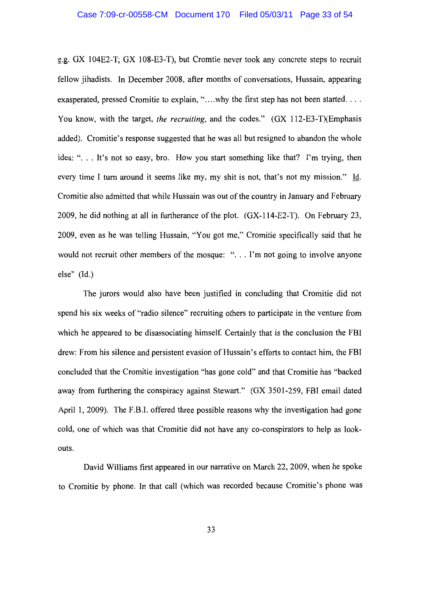e.g. GX 104E2-T; GX 108-E3-T), but Cromtie never took any concrete steps to recruit fellow jihadists. In December 2008, after months of conversations, Hussain, appearing exasperated, pressed Cromitie to explain, "..., why the first step has not been started.... You know, with the target, the recruiting, and the codes." (GX 112-E3-T)(Emphasis added). Cromitie's response suggested that he was all but resigned to abandon the whole idea: "... It's not so easy, bro. How you start something like that? I'm trying, then every time I turn around it seems like my, my shit is not, that's not my mission." Id. Cromitie also admitted that while Hussain was out of the country in January and February 2009, he did nothing at all in furtherance of the plot. (GX-114-E2-T). On February 23, 2009, even as he was telling Hussain, "You got me," Cromitie specifically said that he would not recruit other members of the mosque: "... I'm not going to involve anyone else"  $(Id.)$ 

The jurors would also have been justified in concluding that Cromitie did not spend his six weeks of "radio silence" recruiting others to participate in the venture from which he appeared to be disassociating himself. Certainly that is the conclusion the FBI drew: From his silence and persistent evasion of Hussain's efforts to contact him, the FBI concluded that the Cromitie investigation "has gone cold" and that Cromitie has "backed away from furthering the conspiracy against Stewart." (GX 3501-259, FBI email dated April 1, 2009). The F.B.I. offered three possible reasons why the investigation had gone cold, one of which was that Cromitie did not have any co-conspirators to help as lookouts.

David Williams first appeared in our narrative on March 22, 2009, when he spoke to Cromitie by phone. In that call (which was recorded because Cromitie's phone was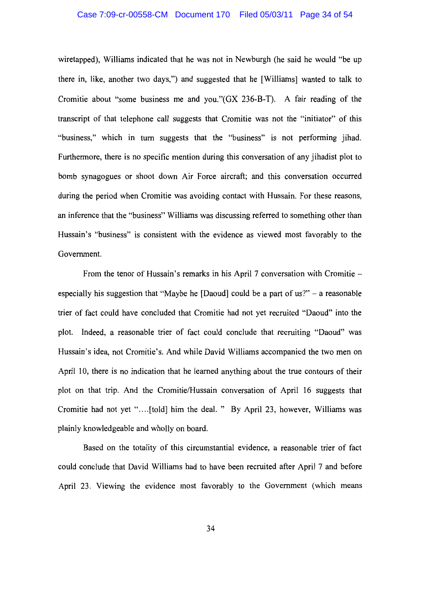#### Case 7:09-cr-00558-CM Document 170 Filed 05/03/11 Page 34 of 54

wiretapped). Williams indicated that he was not in Newburgh (he said he would "be up there in, like, another two days,") and suggested that he [Williams] wanted to talk to Cromitie about "some business me and you." (GX 236-B-T). A fair reading of the transcript of that telephone call suggests that Cromitie was not the "initiator" of this "business," which in turn suggests that the "business" is not performing jihad. Furthermore, there is no specific mention during this conversation of any jihadist plot to bomb synagogues or shoot down Air Force aircraft; and this conversation occurred during the period when Cromitie was avoiding contact with Hussain. For these reasons, an inference that the "business" Williams was discussing referred to something other than Hussain's "business" is consistent with the evidence as viewed most favorably to the Government.

From the tenor of Hussain's remarks in his April 7 conversation with Cromitie especially his suggestion that "Maybe he [Daoud] could be a part of  $us$ ?" – a reasonable trier of fact could have concluded that Cromitie had not yet recruited "Daoud" into the plot. Indeed, a reasonable trier of fact could conclude that recruiting "Daoud" was Hussain's idea, not Cromitie's. And while David Williams accompanied the two men on April 10, there is no indication that he learned anything about the true contours of their plot on that trip. And the Cromitie/Hussain conversation of April 16 suggests that Cromitie had not yet "....[told] him the deal. " By April 23, however, Williams was plainly knowledgeable and wholly on board.

Based on the totality of this circumstantial evidence, a reasonable trier of fact could conclude that David Williams had to have been recruited after April 7 and before April 23. Viewing the evidence most favorably to the Government (which means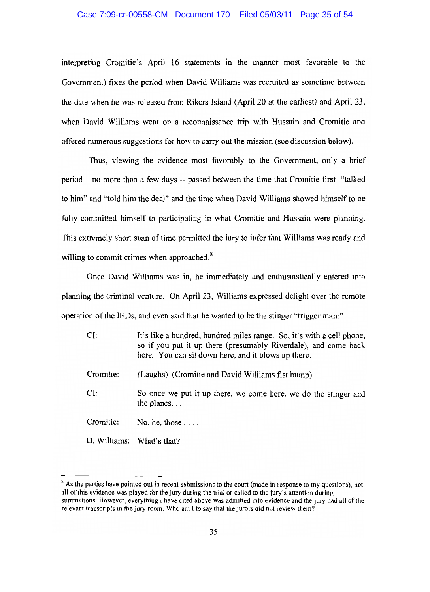## Case 7:09-cr-00558-CM Document 170 Filed 05/03/11 Page 35 of 54

interpreting Cromitie's April 16 statements in the manner most favorable to the Government) fixes the period when David Williams was recruited as sometime between the date when he was released from Rikers Island (April 20 at the earliest) and April 23, when David Williams went on a reconnaissance trip with Hussain and Cromitie and offered numerous suggestions for how to carry out the mission (see discussion below).

Thus, viewing the evidence most favorably to the Government, only a brief period – no more than a few days -- passed between the time that Cromitie first "talked" to him" and "told him the deal" and the time when David Williams showed himself to be fully committed himself to participating in what Cromitie and Hussain were planning. This extremely short span of time permitted the jury to infer that Williams was ready and willing to commit crimes when approached.<sup>8</sup>

Once David Williams was in, he immediately and enthusiastically entered into planning the criminal venture. On April 23, Williams expressed delight over the remote operation of the IEDs, and even said that he wanted to be the stinger "trigger man:"

| CI:       | It's like a hundred, hundred miles range. So, it's with a cell phone,<br>so if you put it up there (presumably Riverdale), and come back<br>here. You can sit down here, and it blows up there. |
|-----------|-------------------------------------------------------------------------------------------------------------------------------------------------------------------------------------------------|
| Cromitie: | (Laughs) (Cromitie and David Williams fist bump)                                                                                                                                                |
| CI:       | So once we put it up there, we come here, we do the stinger and<br>the planes. $\ldots$                                                                                                         |
| Cromitie: | No, he, those $\ldots$ .                                                                                                                                                                        |
|           | D. Williams: What's that?                                                                                                                                                                       |

<sup>&</sup>lt;sup>8</sup> As the parties have pointed out in recent submissions to the court (made in response to my questions), not all of this evidence was played for the jury during the trial or called to the jury's attention during summations. However, everything I have cited above was admitted into evidence and the jury had all of the relevant transcripts in the jury room. Who am I to say that the jurors did not review them?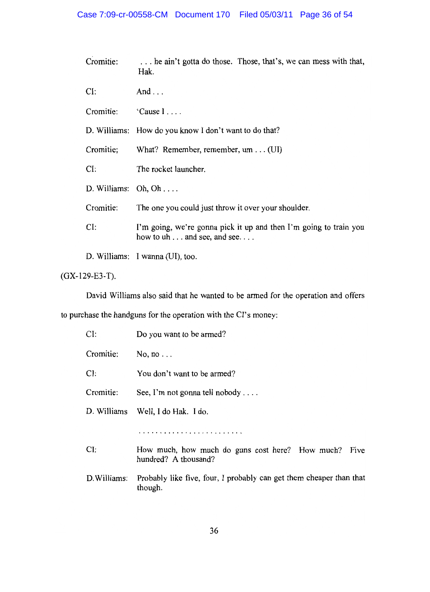| Cromitie:           | he ain't gotta do those. Those, that's, we can mess with that,<br>Hak.                                  |
|---------------------|---------------------------------------------------------------------------------------------------------|
| CI:                 | And $\ldots$                                                                                            |
| Cromitie:           | 'Cause I                                                                                                |
|                     | D. Williams: How do you know I don't want to do that?                                                   |
| Cromitie;           | What? Remember, remember, $um \dots (UI)$                                                               |
| CI:                 | The rocket launcher.                                                                                    |
| D. Williams: Oh, Oh |                                                                                                         |
| Cromitie:           | The one you could just throw it over your shoulder.                                                     |
| CI:                 | I'm going, we're gonna pick it up and then I'm going to train you<br>how to $uh \dots$ and see, and see |
|                     | D. Williams: I wanna (UI), too.                                                                         |

 $(GX-129-E3-T).$ 

David Williams also said that he wanted to be armed for the operation and offers

to purchase the handguns for the operation with the CI's money:

| CI:          | Do you want to be armed?                                                        |
|--------------|---------------------------------------------------------------------------------|
| Cromitie:    | No, no $\ldots$                                                                 |
| CI:          | You don't want to be armed?                                                     |
| Cromitie:    | See, I'm not gonna tell nobody $\dots$                                          |
|              | D. Williams Well, I do Hak. I do.                                               |
|              |                                                                                 |
| CI:          | How much, how much do guns cost here? How much?<br>Five<br>hundred? A thousand? |
| D. Williams: | Probably like five, four, I probably can get them cheaper than that<br>though.  |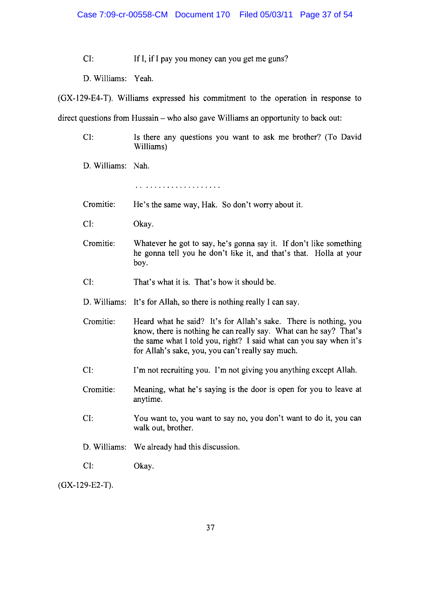If I, if I pay you money can you get me guns?  $CI:$ 

D. Williams: Yeah.

(GX-129-E4-T). Williams expressed his commitment to the operation in response to

direct questions from Hussain – who also gave Williams an opportunity to back out:

- Is there any questions you want to ask me brother? (To David  $CI:$ Williams)
- D. Williams: Nah.

- Cromitie: He's the same way, Hak. So don't worry about it.
- $CI:$ Okay.
- Cromitie: Whatever he got to say, he's gonna say it. If don't like something he gonna tell you he don't like it, and that's that. Holla at your boy.
- $CI:$ That's what it is. That's how it should be.
- D. Williams: It's for Allah, so there is nothing really I can say.
- Cromitie: Heard what he said? It's for Allah's sake. There is nothing, you know, there is nothing he can really say. What can he say? That's the same what I told you, right? I said what can you say when it's for Allah's sake, you, you can't really say much.
- $CI:$ I'm not recruiting you. I'm not giving you anything except Allah.
- Cromitie: Meaning, what he's saying is the door is open for you to leave at anytime.
- $CI:$ You want to, you want to say no, you don't want to do it, you can walk out, brother.
- D. Williams: We already had this discussion.
- $CI:$ Okay.

 $(GX-129-E2-T).$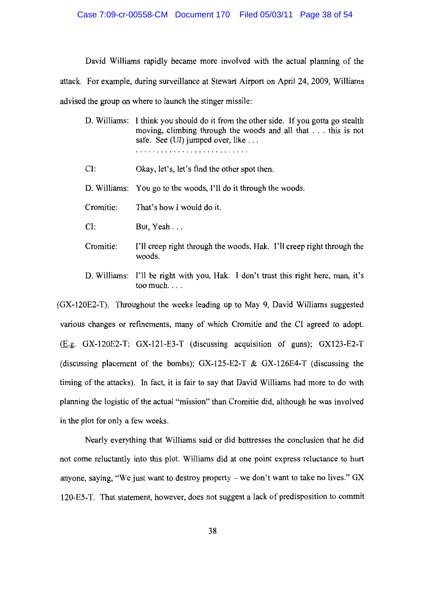David Williams rapidly became more involved with the actual planning of the attack. For example, during surveillance at Stewart Airport on April 24, 2009, Williams advised the group on where to launch the stinger missile:

D. Williams: I think you should do it from the other side. If you gotta go stealth moving, climbing through the woods and all that . . . this is not safe. See (UI) jumped over, like ... 

 $CI:$ Okay, let's, let's find the other spot then.

D. Williams: You go to the woods, I'll do it through the woods.

That's how I would do it. Cromitie:

 $CI:$ But, Yeah . . .

- Cromitie: I'll creep right through the woods, Hak. I'll creep right through the woods.
- D. Williams: I'll be right with you, Hak. I don't trust this right here, man, it's too much. $\ldots$

(GX-120E2-T). Throughout the weeks leading up to May 9, David Williams suggested various changes or refinements, many of which Cromitie and the CI agreed to adopt. (E.g. GX-120E2-T; GX-121-E3-T (discussing acquisition of guns); GX123-E2-T (discussing placement of the bombs); GX-125-E2-T & GX-126E4-T (discussing the timing of the attacks). In fact, it is fair to say that David Williams had more to do with planning the logistic of the actual "mission" than Cromitie did, although he was involved in the plot for only a few weeks.

Nearly everything that Williams said or did buttresses the conclusion that he did not come reluctantly into this plot. Williams did at one point express reluctance to hurt anyone, saying, "We just want to destroy property – we don't want to take no lives."  $GX$ 120-E5-T. That statement, however, does not suggest a lack of predisposition to commit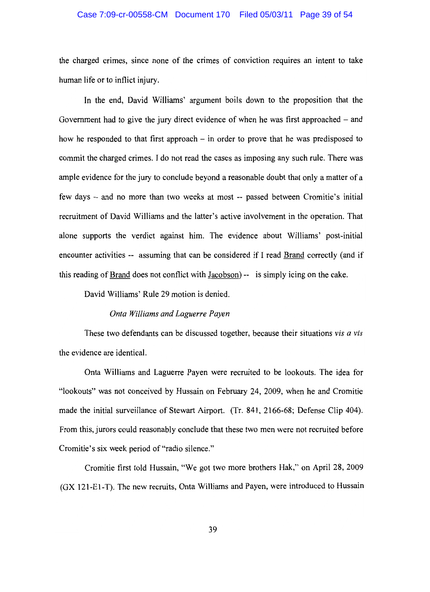## Case 7:09-cr-00558-CM Document 170 Filed 05/03/11 Page 39 of 54

the charged crimes, since none of the crimes of conviction requires an intent to take human life or to inflict injury.

In the end, David Williams' argument boils down to the proposition that the Government had to give the jury direct evidence of when he was first approached  $-$  and how he responded to that first approach  $-$  in order to prove that he was predisposed to commit the charged crimes. I do not read the cases as imposing any such rule. There was ample evidence for the jury to conclude beyond a reasonable doubt that only a matter of a few days – and no more than two weeks at most -- passed between Cromitie's initial recruitment of David Williams and the latter's active involvement in the operation. That alone supports the verdict against him. The evidence about Williams' post-initial encounter activities -- assuming that can be considered if I read Brand correctly (and if this reading of Brand does not conflict with Jacobson) -- is simply icing on the cake.

David Williams' Rule 29 motion is denied.

#### Onta Williams and Laguerre Payen

These two defendants can be discussed together, because their situations vis a vis the evidence are identical.

Onta Williams and Laguerre Payen were recruited to be lookouts. The idea for "lookouts" was not conceived by Hussain on February 24, 2009, when he and Cromitie made the initial surveillance of Stewart Airport. (Tr. 841, 2166-68; Defense Clip 404). From this, jurors could reasonably conclude that these two men were not recruited before Cromitie's six week period of "radio silence."

Cromitie first told Hussain, "We got two more brothers Hak," on April 28, 2009 (GX 121-E1-T). The new recruits, Onta Williams and Payen, were introduced to Hussain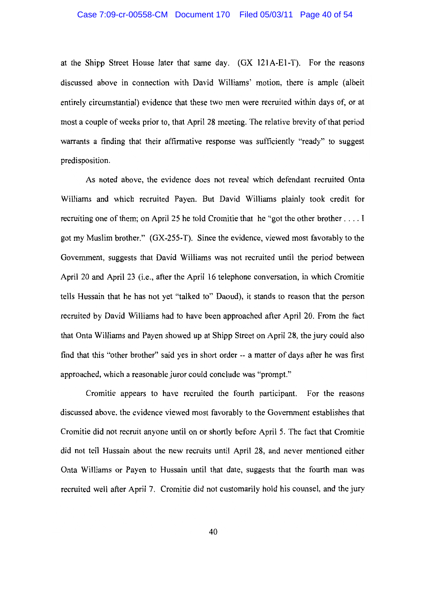at the Shipp Street House later that same day. (GX 121A-E1-T). For the reasons discussed above in connection with David Williams' motion, there is ample (albeit entirely circumstantial) evidence that these two men were recruited within days of, or at most a couple of weeks prior to, that April 28 meeting. The relative brevity of that period warrants a finding that their affirmative response was sufficiently "ready" to suggest predisposition.

As noted above, the evidence does not reveal which defendant recruited Onta Williams and which recruited Payen. But David Williams plainly took credit for recruiting one of them; on April 25 he told Cromitie that he "got the other brother . . . . I got my Muslim brother." (GX-255-T). Since the evidence, viewed most favorably to the Government, suggests that David Williams was not recruited until the period between April 20 and April 23 (i.e., after the April 16 telephone conversation, in which Cromitie tells Hussain that he has not yet "talked to" Daoud), it stands to reason that the person recruited by David Williams had to have been approached after April 20. From the fact that Onta Williams and Payen showed up at Shipp Street on April 28, the jury could also find that this "other brother" said yes in short order -- a matter of days after he was first approached, which a reasonable juror could conclude was "prompt."

Cromitie appears to have recruited the fourth participant. For the reasons discussed above, the evidence viewed most favorably to the Government establishes that Cromitie did not recruit anyone until on or shortly before April 5. The fact that Cromitie did not tell Hussain about the new recruits until April 28, and never mentioned either Onta Williams or Payen to Hussain until that date, suggests that the fourth man was recruited well after April 7. Cromitie did not customarily hold his counsel, and the jury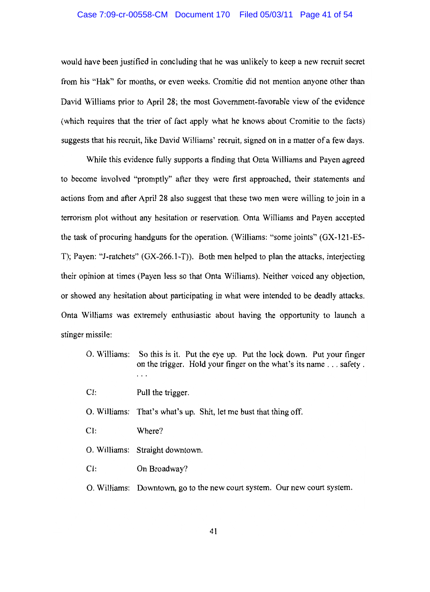#### Case 7:09-cr-00558-CM Document 170 Filed 05/03/11 Page 41 of 54

would have been justified in concluding that he was unlikely to keep a new recruit secret from his "Hak" for months, or even weeks. Cromitie did not mention anyone other than David Williams prior to April 28; the most Government-favorable view of the evidence (which requires that the trier of fact apply what he knows about Cromitie to the facts) suggests that his recruit, like David Williams' recruit, signed on in a matter of a few days.

While this evidence fully supports a finding that Onta Williams and Payen agreed to become involved "promptly" after they were first approached, their statements and actions from and after April 28 also suggest that these two men were willing to join in a terrorism plot without any hesitation or reservation. Onta Williams and Payen accepted the task of procuring handguns for the operation. (Williams: "some joints" (GX-121-E5-T); Payen: "J-ratchets" (GX-266.1-T)). Both men helped to plan the attacks, interjecting their opinion at times (Payen less so that Onta Williams). Neither voiced any objection, or showed any hesitation about participating in what were intended to be deadly attacks. Onta Williams was extremely enthusiastic about having the opportunity to launch a stinger missile:

- O. Williams: So this is it. Put the eye up. Put the lock down. Put your finger on the trigger. Hold your finger on the what's its name . . . safety.  $\ldots$
- $CI:$ Pull the trigger.
- O. Williams: That's what's up. Shit, let me bust that thing off.
- $CI:$ Where?
- O. Williams: Straight downtown.
- $CI:$ On Broadway?
- O. Williams: Downtown, go to the new court system. Our new court system.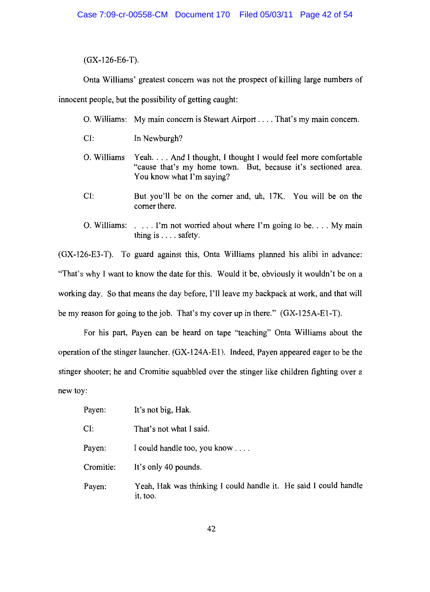$(GX-126-E6-T).$ 

Onta Williams' greatest concern was not the prospect of killing large numbers of

innocent people, but the possibility of getting caught:

O. Williams: My main concern is Stewart Airport . . . . That's my main concern.

 $CI:$ In Newburgh?

- Yeah.... And I thought, I thought I would feel more comfortable O. Williams "cause that's my home town. But, because it's sectioned area. You know what I'm saying?
- But you'll be on the corner and, uh, 17K. You will be on the  $CI:$ corner there.
- O. Williams:  $\ldots$  I'm not worried about where I'm going to be... My main thing is  $\ldots$  safety.

(GX-126-E3-T). To guard against this, Onta Williams planned his alibi in advance: "That's why I want to know the date for this. Would it be, obviously it wouldn't be on a working day. So that means the day before, I'll leave my backpack at work, and that will be my reason for going to the job. That's my cover up in there." (GX-125A-E1-T).

For his part, Payen can be heard on tape "teaching" Onta Williams about the operation of the stinger launcher. (GX-124A-E1). Indeed, Payen appeared eager to be the stinger shooter; he and Cromitie squabbled over the stinger like children fighting over a new toy:

| Payen:    | It's not big, Hak.                                                           |
|-----------|------------------------------------------------------------------------------|
| CI:       | That's not what I said.                                                      |
| Payen:    | I could handle too, you know                                                 |
| Cromitie: | It's only 40 pounds.                                                         |
| Payen:    | Yeah, Hak was thinking I could handle it. He said I could handle<br>it, too. |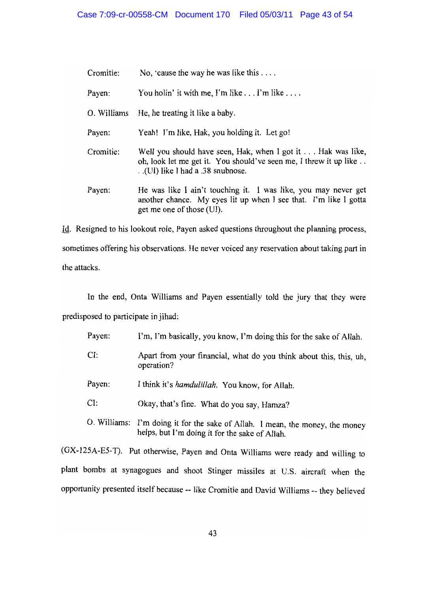| Cromitie: | No, 'cause the way he was like this $\dots$                                                                                                                           |
|-----------|-----------------------------------------------------------------------------------------------------------------------------------------------------------------------|
| Payen:    | You holin' it with me, I'm like $\dots$ I'm like $\dots$ .                                                                                                            |
|           | O. Williams He, he treating it like a baby.                                                                                                                           |
| Payen:    | Yeah! I'm like, Hak, you holding it. Let go!                                                                                                                          |
| Cromitie: | Well you should have seen, Hak, when I got it Hak was like,<br>oh, look let me get it. You should've seen me, I threw it up like<br>. (UI) like I had a .38 snubnose. |
| Payen:    | He was like I ain't touching it. I was like, you may never get<br>another chance. My eyes lit up when I see that. I'm like I gotta<br>get me one of those (UI).       |

Id. Resigned to his lookout role, Payen asked questions throughout the planning process, sometimes offering his observations. He never voiced any reservation about taking part in the attacks.

In the end, Onta Williams and Payen essentially told the jury that they were

predisposed to participate in jihad:

- Payen: I'm, I'm basically, you know, I'm doing this for the sake of Allah.
- $CI:$ Apart from your financial, what do you think about this, this, uh. operation?
- Payen: I think it's hamdulillah. You know, for Allah.
- $CI:$ Okay, that's fine. What do you say, Hamza?
- O. Williams: I'm doing it for the sake of Allah. I mean, the money, the money helps, but I'm doing it for the sake of Allah.

(GX-125A-E5-T). Put otherwise, Payen and Onta Williams were ready and willing to plant bombs at synagogues and shoot Stinger missiles at U.S. aircraft when the opportunity presented itself because -- like Cromitie and David Williams -- they believed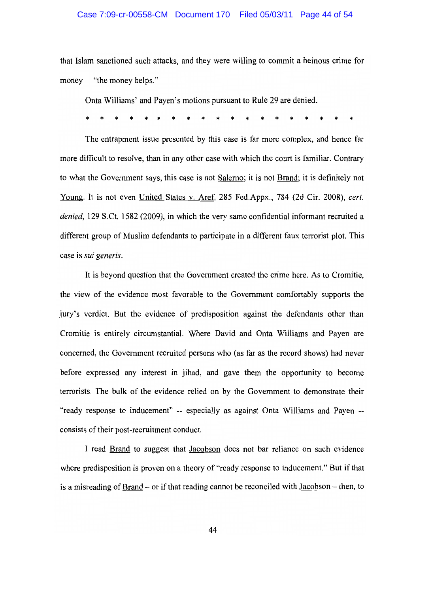#### Case 7:09-cr-00558-CM Document 170 Filed 05/03/11 Page 44 of 54

that Islam sanctioned such attacks, and they were willing to commit a heinous crime for money— "the money helps."

Onta Williams' and Payen's motions pursuant to Rule 29 are denied.

The entrapment issue presented by this case is far more complex, and hence far more difficult to resolve, than in any other case with which the court is familiar. Contrary to what the Government says, this case is not Salerno; it is not Brand; it is definitely not Young. It is not even United States v. Aref, 285 Fed.Appx., 784 (2d Cir. 2008), cert. denied, 129 S.Ct. 1582 (2009), in which the very same confidential informant recruited a different group of Muslim defendants to participate in a different faux terrorist plot. This case is sui generis.

It is beyond question that the Government created the crime here. As to Cromitie, the view of the evidence most favorable to the Government comfortably supports the jury's verdict. But the evidence of predisposition against the defendants other than Cromitie is entirely circumstantial. Where David and Onta Williams and Payen are concerned, the Government recruited persons who (as far as the record shows) had never before expressed any interest in jihad, and gave them the opportunity to become terrorists. The bulk of the evidence relied on by the Government to demonstrate their "ready response to inducement" -- especially as against Onta Williams and Payen -consists of their post-recruitment conduct.

I read Brand to suggest that Jacobson does not bar reliance on such evidence where predisposition is proven on a theory of "ready response to inducement." But if that is a misreading of Brand – or if that reading cannot be reconciled with  $Jacobian - then$ , to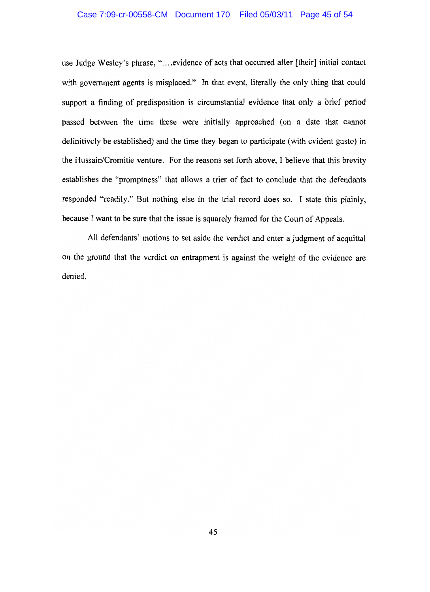## Case 7:09-cr-00558-CM Document 170 Filed 05/03/11 Page 45 of 54

use Judge Wesley's phrase, "....evidence of acts that occurred after [their] initial contact with government agents is misplaced." In that event, literally the only thing that could support a finding of predisposition is circumstantial evidence that only a brief period passed between the time these were initially approached (on a date that cannot definitively be established) and the time they began to participate (with evident gusto) in the Hussain/Cromitie venture. For the reasons set forth above, I believe that this brevity establishes the "promptness" that allows a trier of fact to conclude that the defendants responded "readily." But nothing else in the trial record does so. I state this plainly, because I want to be sure that the issue is squarely framed for the Court of Appeals.

All defendants' motions to set aside the verdict and enter a judgment of acquittal on the ground that the verdict on entrapment is against the weight of the evidence are denied.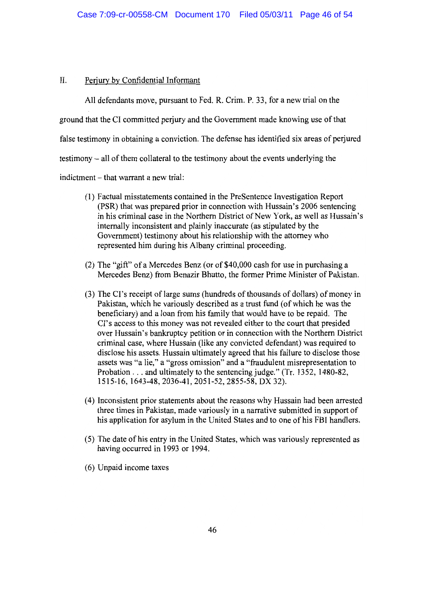#### $II.$ Perjury by Confidential Informant

All defendants move, pursuant to Fed. R. Crim. P. 33, for a new trial on the ground that the CI committed perjury and the Government made knowing use of that false testimony in obtaining a conviction. The defense has identified six areas of perjured testimony – all of them collateral to the testimony about the events underlying the indictment – that warrant a new trial:

- (1) Factual misstatements contained in the PreSentence Investigation Report (PSR) that was prepared prior in connection with Hussain's 2006 sentencing in his criminal case in the Northern District of New York, as well as Hussain's internally inconsistent and plainly inaccurate (as stipulated by the Government) testimony about his relationship with the attorney who represented him during his Albany criminal proceeding.
- (2) The "gift" of a Mercedes Benz (or of \$40,000 cash for use in purchasing a Mercedes Benz) from Benazir Bhutto, the former Prime Minister of Pakistan.
- (3) The CI's receipt of large sums (hundreds of thousands of dollars) of money in Pakistan, which he variously described as a trust fund (of which he was the beneficiary) and a loan from his family that would have to be repaid. The CI's access to this money was not revealed either to the court that presided over Hussain's bankruptcy petition or in connection with the Northern District criminal case, where Hussain (like any convicted defendant) was required to disclose his assets. Hussain ultimately agreed that his failure to disclose those assets was "a lie," a "gross omission" and a "fraudulent misrepresentation to Probation . . . and ultimately to the sentencing judge." (Tr. 1352, 1480-82, 1515-16, 1643-48, 2036-41, 2051-52, 2855-58, DX 32).
- (4) Inconsistent prior statements about the reasons why Hussain had been arrested three times in Pakistan, made variously in a narrative submitted in support of his application for asylum in the United States and to one of his FBI handlers.
- (5) The date of his entry in the United States, which was variously represented as having occurred in 1993 or 1994.
- (6) Unpaid income taxes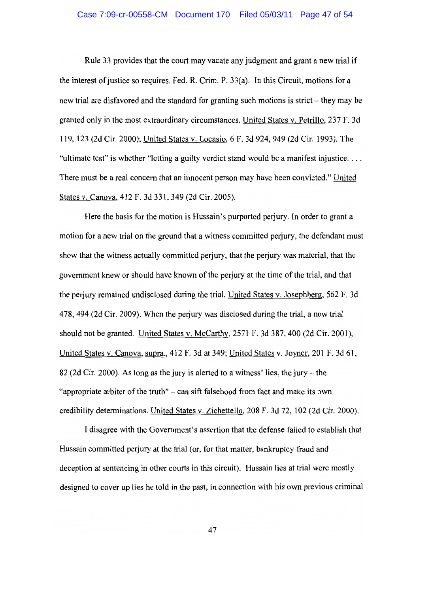## Case 7:09-cr-00558-CM Document 170 Filed 05/03/11 Page 47 of 54

Rule 33 provides that the court may vacate any judgment and grant a new trial if the interest of justice so requires. Fed. R. Crim. P. 33(a). In this Circuit, motions for a new trial are disfavored and the standard for granting such motions is strict – they may be granted only in the most extraordinary circumstances. United States v. Petrillo, 237 F. 3d 119, 123 (2d Cir. 2000); United States v. Locasio, 6 F. 3d 924, 949 (2d Cir. 1993). The "ultimate test" is whether "letting a guilty verdict stand would be a manifest injustice... There must be a real concern that an innocent person may have been convicted." United States v. Canova, 412 F. 3d 331, 349 (2d Cir. 2005).

Here the basis for the motion is Hussain's purported perjury. In order to grant a motion for a new trial on the ground that a witness committed perjury, the defendant must show that the witness actually committed perfury, that the perfury was material, that the government knew or should have known of the perjury at the time of the trial, and that the perjury remained undisclosed during the trial. United States v. Josephberg, 562 F. 3d 478, 494 (2d Cir. 2009). When the perjury was disclosed during the trial, a new trial should not be granted. United States v. McCarthy, 2571 F. 3d 387, 400 (2d Cir. 2001). United States v. Canova, supra., 412 F. 3d at 349; United States v. Joyner, 201 F. 3d 61, 82 (2d Cir. 2000). As long as the jury is alerted to a witness' lies, the jury – the "appropriate arbiter of the truth" – can sift falsehood from fact and make its own credibility determinations. United States v. Zichettello, 208 F. 3d 72, 102 (2d Cir. 2000).

I disagree with the Government's assertion that the defense failed to establish that Hussain committed perjury at the trial (or, for that matter, bankruptcy fraud and deception at sentencing in other courts in this circuit). Hussain lies at trial were mostly designed to cover up lies he told in the past, in connection with his own previous criminal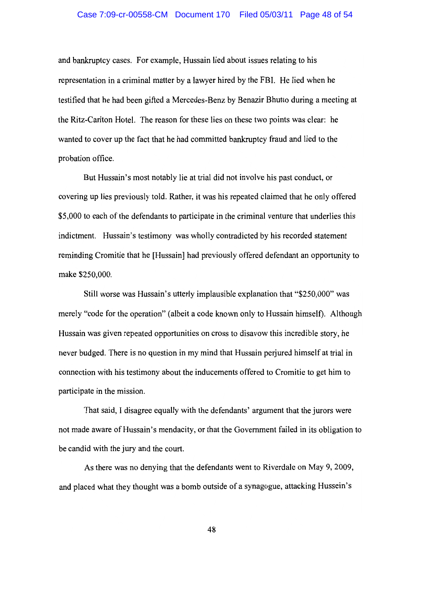#### Case 7:09-cr-00558-CM Document 170 Filed 05/03/11 Page 48 of 54

and bankruptcy cases. For example, Hussain lied about issues relating to his representation in a criminal matter by a lawyer hired by the FBI. He lied when he testified that he had been gifted a Mercedes-Benz by Benazir Bhutto during a meeting at the Ritz-Carlton Hotel. The reason for these lies on these two points was clear: he wanted to cover up the fact that he had committed bankruptcy fraud and lied to the probation office.

But Hussain's most notably lie at trial did not involve his past conduct, or covering up lies previously told. Rather, it was his repeated claimed that he only offered \$5,000 to each of the defendants to participate in the criminal venture that underlies this indictment. Hussain's testimony was wholly contradicted by his recorded statement reminding Cromitie that he [Hussain] had previously offered defendant an opportunity to make \$250,000.

Still worse was Hussain's utterly implausible explanation that "\$250,000" was merely "code for the operation" (albeit a code known only to Hussain himself). Although Hussain was given repeated opportunities on cross to disavow this incredible story, he never budged. There is no question in my mind that Hussain perjured himself at trial in connection with his testimony about the inducements offered to Cromitie to get him to participate in the mission.

That said, I disagree equally with the defendants' argument that the jurors were not made aware of Hussain's mendacity, or that the Government failed in its obligation to be candid with the jury and the court.

As there was no denying that the defendants went to Riverdale on May 9, 2009, and placed what they thought was a bomb outside of a synagogue, attacking Hussein's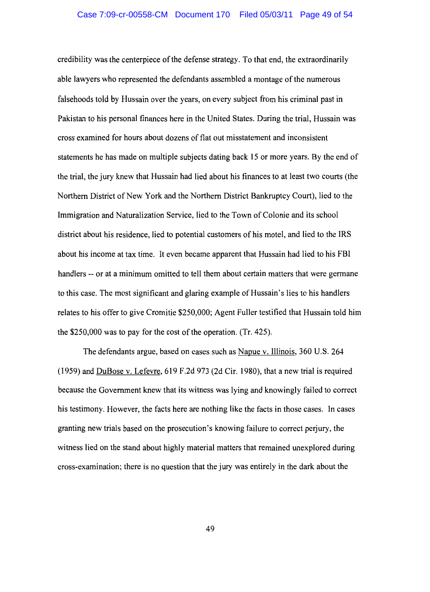credibility was the centerpiece of the defense strategy. To that end, the extraordinarily able lawyers who represented the defendants assembled a montage of the numerous falsehoods told by Hussain over the years, on every subject from his criminal past in Pakistan to his personal finances here in the United States. During the trial, Hussain was cross examined for hours about dozens of flat out misstatement and inconsistent statements he has made on multiple subjects dating back 15 or more years. By the end of the trial, the jury knew that Hussain had lied about his finances to at least two courts (the Northern District of New York and the Northern District Bankruptcy Court), lied to the Immigration and Naturalization Service, lied to the Town of Colonie and its school district about his residence, lied to potential customers of his motel, and lied to the IRS about his income at tax time. It even became apparent that Hussain had lied to his FBI handlers -- or at a minimum omitted to tell them about certain matters that were germane to this case. The most significant and glaring example of Hussain's lies to his handlers relates to his offer to give Cromitie \$250,000; Agent Fuller testified that Hussain told him the  $$250,000$  was to pay for the cost of the operation. (Tr. 425).

The defendants argue, based on cases such as Napue v. Illinois, 360 U.S. 264 (1959) and DuBose v. Lefevre, 619 F.2d 973 (2d Cir. 1980), that a new trial is required because the Government knew that its witness was lying and knowingly failed to correct his testimony. However, the facts here are nothing like the facts in those cases. In cases granting new trials based on the prosecution's knowing failure to correct perjury, the witness lied on the stand about highly material matters that remained unexplored during cross-examination; there is no question that the jury was entirely in the dark about the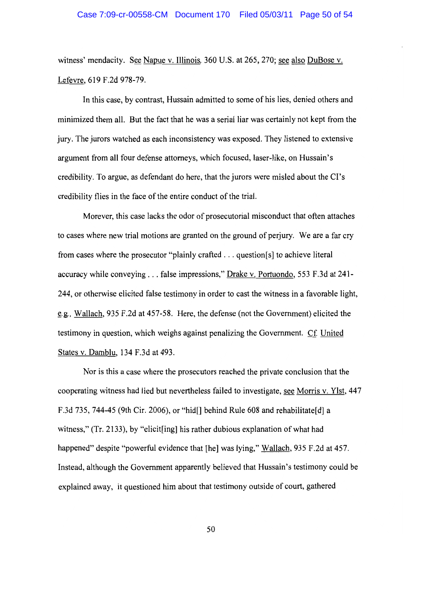witness' mendacity. See Napue v. Illinois, 360 U.S. at 265, 270; see also DuBose v. Lefevre, 619 F.2d 978-79.

In this case, by contrast, Hussain admitted to some of his lies, denied others and minimized them all. But the fact that he was a serial liar was certainly not kept from the jury. The jurors watched as each inconsistency was exposed. They listened to extensive argument from all four defense attorneys, which focused, laser-like, on Hussain's credibility. To argue, as defendant do here, that the jurors were misled about the CI's credibility flies in the face of the entire conduct of the trial.

Morever, this case lacks the odor of prosecutorial misconduct that often attaches to cases where new trial motions are granted on the ground of perjury. We are a far cry from cases where the prosecutor "plainly crafted . . . question[s] to achieve literal accuracy while conveying . . . false impressions," Drake v. Portuondo, 553 F.3d at 241-244, or otherwise elicited false testimony in order to cast the witness in a favorable light, e.g., Wallach, 935 F.2d at 457-58. Here, the defense (not the Government) elicited the testimony in question, which weighs against penalizing the Government. Cf. United States v. Damblu, 134 F.3d at 493.

Nor is this a case where the prosecutors reached the private conclusion that the cooperating witness had lied but nevertheless failed to investigate, see Morris v. Ylst, 447 F.3d 735, 744-45 (9th Cir. 2006), or "hid [] behind Rule 608 and rehabilitate [d] a witness," (Tr. 2133), by "elicit[ing] his rather dubious explanation of what had happened" despite "powerful evidence that [he] was lying," Wallach, 935 F.2d at 457. Instead, although the Government apparently believed that Hussain's testimony could be explained away, it questioned him about that testimony outside of court, gathered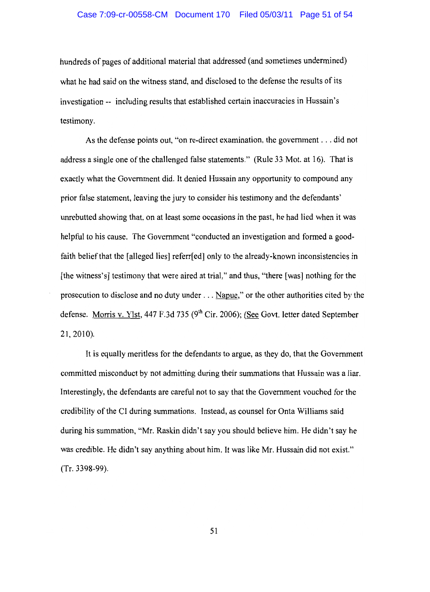hundreds of pages of additional material that addressed (and sometimes undermined) what he had said on the witness stand, and disclosed to the defense the results of its investigation -- including results that established certain inaccuracies in Hussain's testimony.

As the defense points out, "on re-direct examination, the government . . . did not address a single one of the challenged false statements." (Rule 33 Mot. at 16). That is exactly what the Government did. It denied Hussain any opportunity to compound any prior false statement, leaving the jury to consider his testimony and the defendants' unrebutted showing that, on at least some occasions in the past, he had lied when it was helpful to his cause. The Government "conducted an investigation and formed a goodfaith belief that the [alleged lies] referred] only to the already-known inconsistencies in [the witness's] testimony that were aired at trial," and thus, "there [was] nothing for the prosecution to disclose and no duty under . . . Napue," or the other authorities cited by the defense. Morris v. Ylst, 447 F.3d 735 (9<sup>th</sup> Cir. 2006); (See Govt. letter dated September  $21, 2010$ ).

It is equally meritless for the defendants to argue, as they do, that the Government committed misconduct by not admitting during their summations that Hussain was a liar. Interestingly, the defendants are careful not to say that the Government vouched for the credibility of the CI during summations. Instead, as counsel for Onta Williams said during his summation, "Mr. Raskin didn't say you should believe him. He didn't say he was credible. He didn't say anything about him. It was like Mr. Hussain did not exist."  $(Tr. 3398-99)$ .

51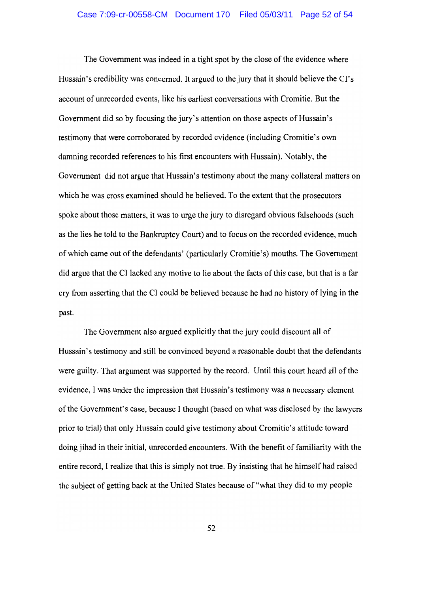The Government was indeed in a tight spot by the close of the evidence where Hussain's credibility was concerned. It argued to the jury that it should believe the CI's account of unrecorded events, like his earliest conversations with Cromitie. But the Government did so by focusing the jury's attention on those aspects of Hussain's testimony that were corroborated by recorded evidence (including Cromitie's own damning recorded references to his first encounters with Hussain). Notably, the Government did not argue that Hussain's testimony about the many collateral matters on which he was cross examined should be believed. To the extent that the prosecutors spoke about those matters, it was to urge the jury to disregard obvious falsehoods (such as the lies he told to the Bankruptcy Court) and to focus on the recorded evidence, much of which came out of the defendants' (particularly Cromitie's) mouths. The Government did argue that the CI lacked any motive to lie about the facts of this case, but that is a far cry from asserting that the CI could be believed because he had no history of lying in the past.

The Government also argued explicitly that the jury could discount all of Hussain's testimony and still be convinced beyond a reasonable doubt that the defendants were guilty. That argument was supported by the record. Until this court heard all of the evidence, I was under the impression that Hussain's testimony was a necessary element of the Government's case, because I thought (based on what was disclosed by the lawyers prior to trial) that only Hussain could give testimony about Cromitie's attitude toward doing jihad in their initial, unrecorded encounters. With the benefit of familiarity with the entire record, I realize that this is simply not true. By insisting that he himself had raised the subject of getting back at the United States because of "what they did to my people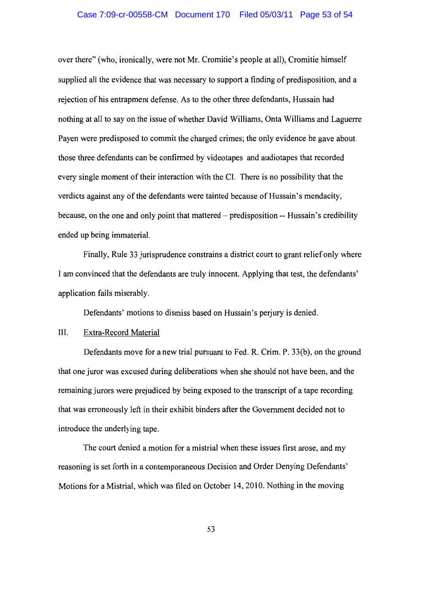#### Case 7:09-cr-00558-CM Document 170 Filed 05/03/11 Page 53 of 54

over there" (who, ironically, were not Mr. Cromitie's people at all), Cromitie himself supplied all the evidence that was necessary to support a finding of predisposition, and a rejection of his entrapment defense. As to the other three defendants, Hussain had nothing at all to say on the issue of whether David Williams, Onta Williams and Laguerre Payen were predisposed to commit the charged crimes; the only evidence he gave about those three defendants can be confirmed by videotapes and audiotapes that recorded every single moment of their interaction with the CI. There is no possibility that the verdicts against any of the defendants were tainted because of Hussain's mendacity, because, on the one and only point that mattered – predisposition -- Hussain's credibility ended up being immaterial.

Finally, Rule 33 jurisprudence constrains a district court to grant relief only where I am convinced that the defendants are truly innocent. Applying that test, the defendants' application fails miserably.

Defendants' motions to dismiss based on Hussain's perjury is denied.

#### III. Extra-Record Material

Defendants move for a new trial pursuant to Fed. R. Crim. P. 33(b), on the ground that one juror was excused during deliberations when she should not have been, and the remaining jurors were prejudiced by being exposed to the transcript of a tape recording that was erroneously left in their exhibit binders after the Government decided not to introduce the underlying tape.

The court denied a motion for a mistrial when these issues first arose, and my reasoning is set forth in a contemporaneous Decision and Order Denying Defendants' Motions for a Mistrial, which was filed on October 14, 2010. Nothing in the moving